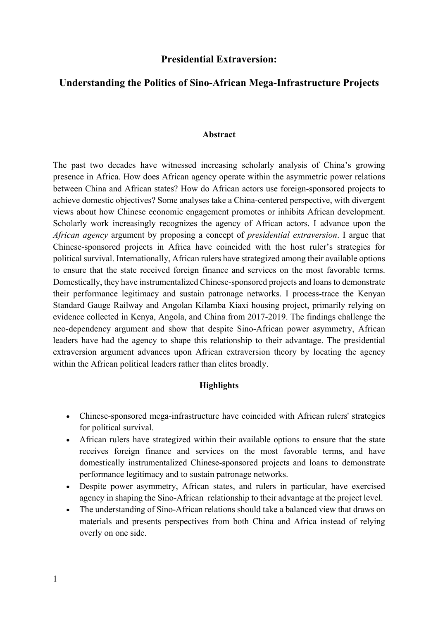# **Presidential Extraversion:**

# **Understanding the Politics of Sino-African Mega-Infrastructure Projects**

#### **Abstract**

The past two decades have witnessed increasing scholarly analysis of China's growing presence in Africa. How does African agency operate within the asymmetric power relations between China and African states? How do African actors use foreign-sponsored projects to achieve domestic objectives? Some analyses take a China-centered perspective, with divergent views about how Chinese economic engagement promotes or inhibits African development. Scholarly work increasingly recognizes the agency of African actors. I advance upon the *African agency* argument by proposing a concept of *presidential extraversion*. I argue that Chinese-sponsored projects in Africa have coincided with the host ruler's strategies for political survival. Internationally, African rulers have strategized among their available options to ensure that the state received foreign finance and services on the most favorable terms. Domestically, they have instrumentalized Chinese-sponsored projects and loans to demonstrate their performance legitimacy and sustain patronage networks. I process-trace the Kenyan Standard Gauge Railway and Angolan Kilamba Kiaxi housing project, primarily relying on evidence collected in Kenya, Angola, and China from 2017-2019. The findings challenge the neo-dependency argument and show that despite Sino-African power asymmetry, African leaders have had the agency to shape this relationship to their advantage. The presidential extraversion argument advances upon African extraversion theory by locating the agency within the African political leaders rather than elites broadly.

## **Highlights**

- Chinese-sponsored mega-infrastructure have coincided with African rulers' strategies for political survival.
- African rulers have strategized within their available options to ensure that the state receives foreign finance and services on the most favorable terms, and have domestically instrumentalized Chinese-sponsored projects and loans to demonstrate performance legitimacy and to sustain patronage networks.
- Despite power asymmetry, African states, and rulers in particular, have exercised agency in shaping the Sino-African relationship to their advantage at the project level.
- The understanding of Sino-African relations should take a balanced view that draws on materials and presents perspectives from both China and Africa instead of relying overly on one side.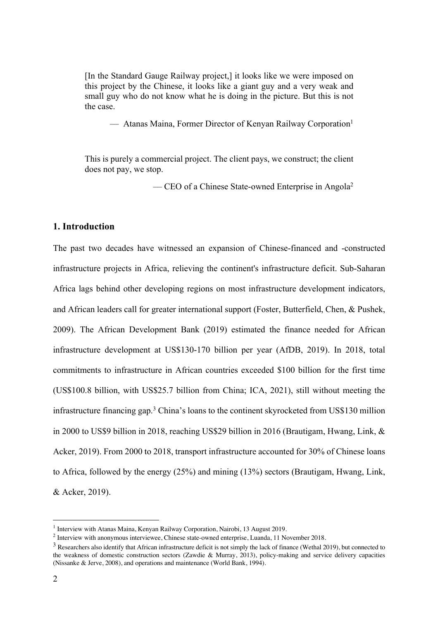[In the Standard Gauge Railway project,] it looks like we were imposed on this project by the Chinese, it looks like a giant guy and a very weak and small guy who do not know what he is doing in the picture. But this is not the case.

–– Atanas Maina, Former Director of Kenyan Railway Corporation1

This is purely a commercial project. The client pays, we construct; the client does not pay, we stop.

 $\sim$  CEO of a Chinese State-owned Enterprise in Angola<sup>2</sup>

## **1. Introduction**

The past two decades have witnessed an expansion of Chinese-financed and -constructed infrastructure projects in Africa, relieving the continent's infrastructure deficit. Sub-Saharan Africa lags behind other developing regions on most infrastructure development indicators, and African leaders call for greater international support (Foster, Butterfield, Chen, & Pushek, 2009). The African Development Bank (2019) estimated the finance needed for African infrastructure development at US\$130-170 billion per year (AfDB, 2019). In 2018, total commitments to infrastructure in African countries exceeded \$100 billion for the first time (US\$100.8 billion, with US\$25.7 billion from China; ICA, 2021), still without meeting the infrastructure financing gap.3 China's loans to the continent skyrocketed from US\$130 million in 2000 to US\$9 billion in 2018, reaching US\$29 billion in 2016 (Brautigam, Hwang, Link, & Acker, 2019). From 2000 to 2018, transport infrastructure accounted for 30% of Chinese loans to Africa, followed by the energy (25%) and mining (13%) sectors (Brautigam, Hwang, Link, & Acker, 2019).

<sup>&</sup>lt;sup>1</sup> Interview with Atanas Maina, Kenyan Railway Corporation, Nairobi, 13 August 2019.

<sup>2</sup> Interview with anonymous interviewee, Chinese state-owned enterprise, Luanda, 11 November 2018.

<sup>&</sup>lt;sup>3</sup> Researchers also identify that African infrastructure deficit is not simply the lack of finance (Wethal 2019), but connected to the weakness of domestic construction sectors (Zawdie & Murray, 2013), policy-making and service delivery capacities (Nissanke & Jerve, 2008), and operations and maintenance (World Bank, 1994).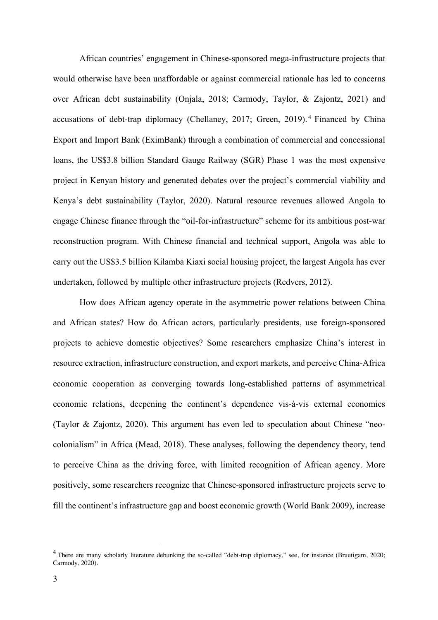African countries' engagement in Chinese-sponsored mega-infrastructure projects that would otherwise have been unaffordable or against commercial rationale has led to concerns over African debt sustainability (Onjala, 2018; Carmody, Taylor, & Zajontz, 2021) and accusations of debt-trap diplomacy (Chellaney, 2017; Green, 2019). <sup>4</sup> Financed by China Export and Import Bank (EximBank) through a combination of commercial and concessional loans, the US\$3.8 billion Standard Gauge Railway (SGR) Phase 1 was the most expensive project in Kenyan history and generated debates over the project's commercial viability and Kenya's debt sustainability (Taylor, 2020). Natural resource revenues allowed Angola to engage Chinese finance through the "oil-for-infrastructure" scheme for its ambitious post-war reconstruction program. With Chinese financial and technical support, Angola was able to carry out the US\$3.5 billion Kilamba Kiaxi social housing project, the largest Angola has ever undertaken, followed by multiple other infrastructure projects (Redvers, 2012).

How does African agency operate in the asymmetric power relations between China and African states? How do African actors, particularly presidents, use foreign-sponsored projects to achieve domestic objectives? Some researchers emphasize China's interest in resource extraction, infrastructure construction, and export markets, and perceive China-Africa economic cooperation as converging towards long-established patterns of asymmetrical economic relations, deepening the continent's dependence vis-à-vis external economies (Taylor & Zajontz, 2020). This argument has even led to speculation about Chinese "neocolonialism" in Africa (Mead, 2018). These analyses, following the dependency theory, tend to perceive China as the driving force, with limited recognition of African agency. More positively, some researchers recognize that Chinese-sponsored infrastructure projects serve to fill the continent's infrastructure gap and boost economic growth (World Bank 2009), increase

<sup>&</sup>lt;sup>4</sup> There are many scholarly literature debunking the so-called "debt-trap diplomacy," see, for instance (Brautigam, 2020; Carmody, 2020).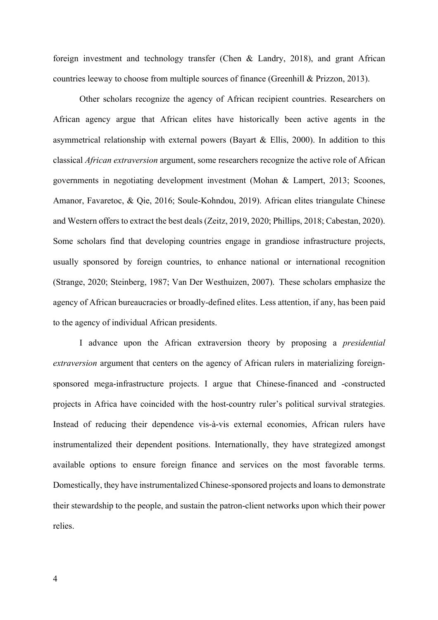foreign investment and technology transfer (Chen & Landry, 2018), and grant African countries leeway to choose from multiple sources of finance (Greenhill & Prizzon, 2013).

Other scholars recognize the agency of African recipient countries. Researchers on African agency argue that African elites have historically been active agents in the asymmetrical relationship with external powers (Bayart & Ellis, 2000). In addition to this classical *African extraversion* argument, some researchers recognize the active role of African governments in negotiating development investment (Mohan & Lampert, 2013; Scoones, Amanor, Favaretoc, & Qie, 2016; Soule-Kohndou, 2019). African elites triangulate Chinese and Western offers to extract the best deals (Zeitz, 2019, 2020; Phillips, 2018; Cabestan, 2020). Some scholars find that developing countries engage in grandiose infrastructure projects, usually sponsored by foreign countries, to enhance national or international recognition (Strange, 2020; Steinberg, 1987; Van Der Westhuizen, 2007). These scholars emphasize the agency of African bureaucracies or broadly-defined elites. Less attention, if any, has been paid to the agency of individual African presidents.

I advance upon the African extraversion theory by proposing a *presidential extraversion* argument that centers on the agency of African rulers in materializing foreignsponsored mega-infrastructure projects. I argue that Chinese-financed and -constructed projects in Africa have coincided with the host-country ruler's political survival strategies. Instead of reducing their dependence vis-à-vis external economies, African rulers have instrumentalized their dependent positions. Internationally, they have strategized amongst available options to ensure foreign finance and services on the most favorable terms. Domestically, they have instrumentalized Chinese-sponsored projects and loans to demonstrate their stewardship to the people, and sustain the patron-client networks upon which their power relies.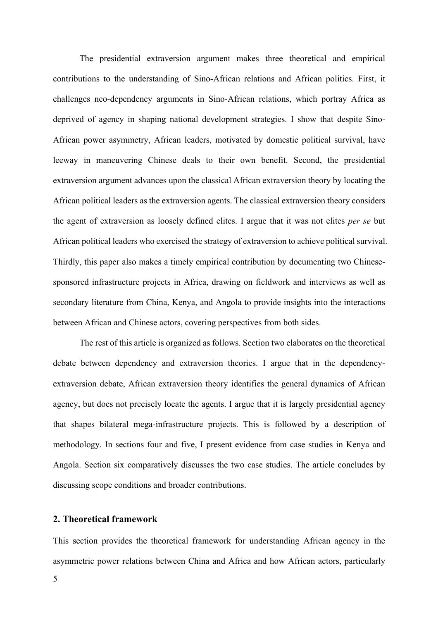The presidential extraversion argument makes three theoretical and empirical contributions to the understanding of Sino-African relations and African politics. First, it challenges neo-dependency arguments in Sino-African relations, which portray Africa as deprived of agency in shaping national development strategies. I show that despite Sino-African power asymmetry, African leaders, motivated by domestic political survival, have leeway in maneuvering Chinese deals to their own benefit. Second, the presidential extraversion argument advances upon the classical African extraversion theory by locating the African political leaders as the extraversion agents. The classical extraversion theory considers the agent of extraversion as loosely defined elites. I argue that it was not elites *per se* but African political leaders who exercised the strategy of extraversion to achieve political survival. Thirdly, this paper also makes a timely empirical contribution by documenting two Chinesesponsored infrastructure projects in Africa, drawing on fieldwork and interviews as well as secondary literature from China, Kenya, and Angola to provide insights into the interactions between African and Chinese actors, covering perspectives from both sides.

The rest of this article is organized as follows. Section two elaborates on the theoretical debate between dependency and extraversion theories. I argue that in the dependencyextraversion debate, African extraversion theory identifies the general dynamics of African agency, but does not precisely locate the agents. I argue that it is largely presidential agency that shapes bilateral mega-infrastructure projects. This is followed by a description of methodology. In sections four and five, I present evidence from case studies in Kenya and Angola. Section six comparatively discusses the two case studies. The article concludes by discussing scope conditions and broader contributions.

### **2. Theoretical framework**

This section provides the theoretical framework for understanding African agency in the asymmetric power relations between China and Africa and how African actors, particularly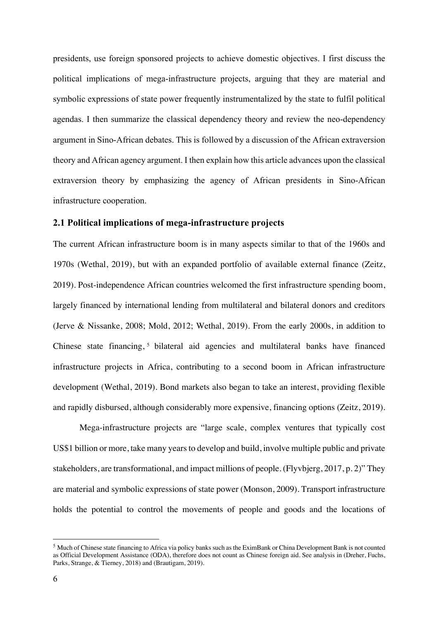presidents, use foreign sponsored projects to achieve domestic objectives. I first discuss the political implications of mega-infrastructure projects, arguing that they are material and symbolic expressions of state power frequently instrumentalized by the state to fulfil political agendas. I then summarize the classical dependency theory and review the neo-dependency argument in Sino-African debates. This is followed by a discussion of the African extraversion theory and African agency argument. I then explain how this article advances upon the classical extraversion theory by emphasizing the agency of African presidents in Sino-African infrastructure cooperation.

## **2.1 Political implications of mega-infrastructure projects**

The current African infrastructure boom is in many aspects similar to that of the 1960s and 1970s (Wethal, 2019), but with an expanded portfolio of available external finance (Zeitz, 2019). Post-independence African countries welcomed the first infrastructure spending boom, largely financed by international lending from multilateral and bilateral donors and creditors (Jerve & Nissanke, 2008; Mold, 2012; Wethal, 2019). From the early 2000s, in addition to Chinese state financing,<sup>5</sup> bilateral aid agencies and multilateral banks have financed infrastructure projects in Africa, contributing to a second boom in African infrastructure development (Wethal, 2019). Bond markets also began to take an interest, providing flexible and rapidly disbursed, although considerably more expensive, financing options (Zeitz, 2019).

Mega-infrastructure projects are "large scale, complex ventures that typically cost US\$1 billion or more, take many years to develop and build, involve multiple public and private stakeholders, are transformational, and impact millions of people. (Flyvbjerg, 2017, p. 2)" They are material and symbolic expressions of state power (Monson, 2009). Transport infrastructure holds the potential to control the movements of people and goods and the locations of

<sup>5</sup> Much of Chinese state financing to Africa via policy banks such as the EximBank or China Development Bank is not counted as Official Development Assistance (ODA), therefore does not count as Chinese foreign aid. See analysis in (Dreher, Fuchs, Parks, Strange, & Tierney, 2018) and (Brautigam, 2019).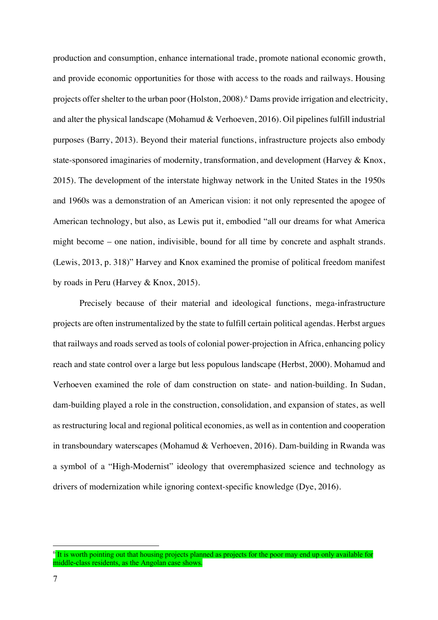production and consumption, enhance international trade, promote national economic growth, and provide economic opportunities for those with access to the roads and railways. Housing projects offer shelter to the urban poor (Holston, 2008).6 Dams provide irrigation and electricity, and alter the physical landscape (Mohamud & Verhoeven, 2016). Oil pipelines fulfill industrial purposes (Barry, 2013). Beyond their material functions, infrastructure projects also embody state-sponsored imaginaries of modernity, transformation, and development (Harvey & Knox, 2015). The development of the interstate highway network in the United States in the 1950s and 1960s was a demonstration of an American vision: it not only represented the apogee of American technology, but also, as Lewis put it, embodied "all our dreams for what America might become – one nation, indivisible, bound for all time by concrete and asphalt strands. (Lewis, 2013, p. 318)" Harvey and Knox examined the promise of political freedom manifest by roads in Peru (Harvey & Knox, 2015).

Precisely because of their material and ideological functions, mega-infrastructure projects are often instrumentalized by the state to fulfill certain political agendas. Herbst argues that railways and roads served as tools of colonial power-projection in Africa, enhancing policy reach and state control over a large but less populous landscape (Herbst, 2000). Mohamud and Verhoeven examined the role of dam construction on state- and nation-building. In Sudan, dam-building played a role in the construction, consolidation, and expansion of states, as well as restructuring local and regional political economies, as well as in contention and cooperation in transboundary waterscapes (Mohamud & Verhoeven, 2016). Dam-building in Rwanda was a symbol of a "High-Modernist" ideology that overemphasized science and technology as drivers of modernization while ignoring context-specific knowledge (Dye, 2016).

<sup>&</sup>lt;sup>6</sup> It is worth pointing out that housing projects planned as projects for the poor may end up only available for middle-class residents, as the Angolan case shows.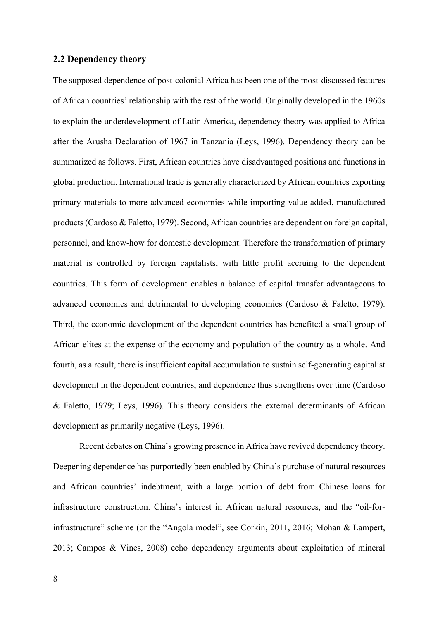## **2.2 Dependency theory**

The supposed dependence of post-colonial Africa has been one of the most-discussed features of African countries' relationship with the rest of the world. Originally developed in the 1960s to explain the underdevelopment of Latin America, dependency theory was applied to Africa after the Arusha Declaration of 1967 in Tanzania (Leys, 1996). Dependency theory can be summarized as follows. First, African countries have disadvantaged positions and functions in global production. International trade is generally characterized by African countries exporting primary materials to more advanced economies while importing value-added, manufactured products (Cardoso & Faletto, 1979). Second, African countries are dependent on foreign capital, personnel, and know-how for domestic development. Therefore the transformation of primary material is controlled by foreign capitalists, with little profit accruing to the dependent countries. This form of development enables a balance of capital transfer advantageous to advanced economies and detrimental to developing economies (Cardoso & Faletto, 1979). Third, the economic development of the dependent countries has benefited a small group of African elites at the expense of the economy and population of the country as a whole. And fourth, as a result, there is insufficient capital accumulation to sustain self-generating capitalist development in the dependent countries, and dependence thus strengthens over time (Cardoso & Faletto, 1979; Leys, 1996). This theory considers the external determinants of African development as primarily negative (Leys, 1996).

Recent debates on China's growing presence in Africa have revived dependency theory. Deepening dependence has purportedly been enabled by China's purchase of natural resources and African countries' indebtment, with a large portion of debt from Chinese loans for infrastructure construction. China's interest in African natural resources, and the "oil-forinfrastructure" scheme (or the "Angola model", see Corkin, 2011, 2016; Mohan & Lampert, 2013; Campos & Vines, 2008) echo dependency arguments about exploitation of mineral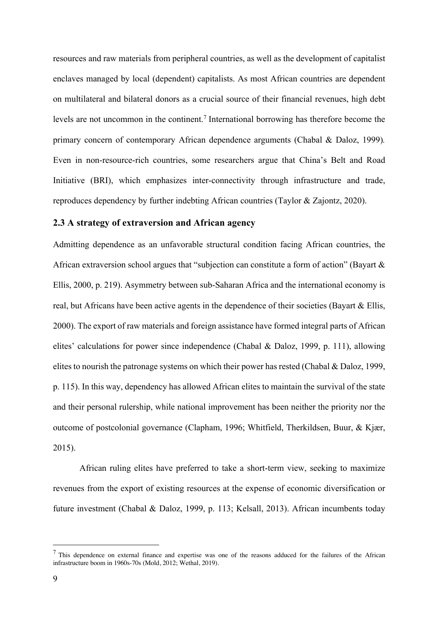resources and raw materials from peripheral countries, as well as the development of capitalist enclaves managed by local (dependent) capitalists. As most African countries are dependent on multilateral and bilateral donors as a crucial source of their financial revenues, high debt levels are not uncommon in the continent.<sup>7</sup> International borrowing has therefore become the primary concern of contemporary African dependence arguments (Chabal & Daloz, 1999)*.* Even in non-resource-rich countries, some researchers argue that China's Belt and Road Initiative (BRI), which emphasizes inter-connectivity through infrastructure and trade, reproduces dependency by further indebting African countries (Taylor & Zajontz, 2020).

## **2.3 A strategy of extraversion and African agency**

Admitting dependence as an unfavorable structural condition facing African countries, the African extraversion school argues that "subjection can constitute a form of action" (Bayart & Ellis, 2000, p. 219). Asymmetry between sub-Saharan Africa and the international economy is real, but Africans have been active agents in the dependence of their societies (Bayart & Ellis, 2000). The export of raw materials and foreign assistance have formed integral parts of African elites' calculations for power since independence (Chabal & Daloz, 1999, p. 111), allowing elites to nourish the patronage systems on which their power has rested (Chabal & Daloz, 1999, p. 115). In this way, dependency has allowed African elites to maintain the survival of the state and their personal rulership, while national improvement has been neither the priority nor the outcome of postcolonial governance (Clapham, 1996; Whitfield, Therkildsen, Buur, & Kjær, 2015).

African ruling elites have preferred to take a short-term view, seeking to maximize revenues from the export of existing resources at the expense of economic diversification or future investment (Chabal & Daloz, 1999, p. 113; Kelsall, 2013). African incumbents today

 $<sup>7</sup>$  This dependence on external finance and expertise was one of the reasons adduced for the failures of the African</sup> infrastructure boom in 1960s-70s (Mold, 2012; Wethal, 2019).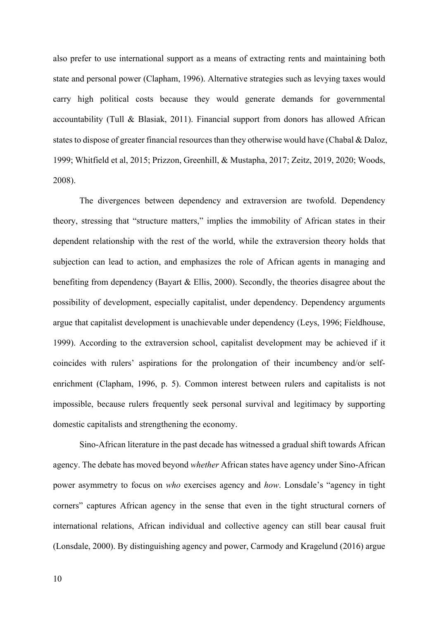also prefer to use international support as a means of extracting rents and maintaining both state and personal power (Clapham, 1996). Alternative strategies such as levying taxes would carry high political costs because they would generate demands for governmental accountability (Tull & Blasiak, 2011). Financial support from donors has allowed African states to dispose of greater financial resources than they otherwise would have (Chabal & Daloz, 1999; Whitfield et al, 2015; Prizzon, Greenhill, & Mustapha, 2017; Zeitz, 2019, 2020; Woods, 2008).

The divergences between dependency and extraversion are twofold. Dependency theory, stressing that "structure matters," implies the immobility of African states in their dependent relationship with the rest of the world, while the extraversion theory holds that subjection can lead to action, and emphasizes the role of African agents in managing and benefiting from dependency (Bayart & Ellis, 2000). Secondly, the theories disagree about the possibility of development, especially capitalist, under dependency. Dependency arguments argue that capitalist development is unachievable under dependency (Leys, 1996; Fieldhouse, 1999). According to the extraversion school, capitalist development may be achieved if it coincides with rulers' aspirations for the prolongation of their incumbency and/or selfenrichment (Clapham, 1996, p. 5). Common interest between rulers and capitalists is not impossible, because rulers frequently seek personal survival and legitimacy by supporting domestic capitalists and strengthening the economy.

Sino-African literature in the past decade has witnessed a gradual shift towards African agency. The debate has moved beyond *whether* African states have agency under Sino-African power asymmetry to focus on *who* exercises agency and *how*. Lonsdale's "agency in tight corners" captures African agency in the sense that even in the tight structural corners of international relations, African individual and collective agency can still bear causal fruit (Lonsdale, 2000). By distinguishing agency and power, Carmody and Kragelund (2016) argue

10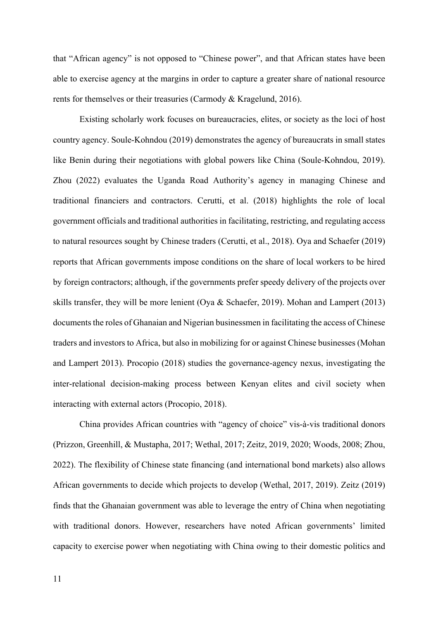that "African agency" is not opposed to "Chinese power", and that African states have been able to exercise agency at the margins in order to capture a greater share of national resource rents for themselves or their treasuries (Carmody & Kragelund, 2016).

Existing scholarly work focuses on bureaucracies, elites, or society as the loci of host country agency. Soule-Kohndou (2019) demonstrates the agency of bureaucrats in small states like Benin during their negotiations with global powers like China (Soule-Kohndou, 2019). Zhou (2022) evaluates the Uganda Road Authority's agency in managing Chinese and traditional financiers and contractors. Cerutti, et al. (2018) highlights the role of local government officials and traditional authorities in facilitating, restricting, and regulating access to natural resources sought by Chinese traders (Cerutti, et al., 2018). Oya and Schaefer (2019) reports that African governments impose conditions on the share of local workers to be hired by foreign contractors; although, if the governments prefer speedy delivery of the projects over skills transfer, they will be more lenient (Oya & Schaefer, 2019). Mohan and Lampert (2013) documents the roles of Ghanaian and Nigerian businessmen in facilitating the access of Chinese traders and investors to Africa, but also in mobilizing for or against Chinese businesses (Mohan and Lampert 2013). Procopio (2018) studies the governance-agency nexus, investigating the inter-relational decision-making process between Kenyan elites and civil society when interacting with external actors (Procopio, 2018).

China provides African countries with "agency of choice" vis-à-vis traditional donors (Prizzon, Greenhill, & Mustapha, 2017; Wethal, 2017; Zeitz, 2019, 2020; Woods, 2008; Zhou, 2022). The flexibility of Chinese state financing (and international bond markets) also allows African governments to decide which projects to develop (Wethal, 2017, 2019). Zeitz (2019) finds that the Ghanaian government was able to leverage the entry of China when negotiating with traditional donors. However, researchers have noted African governments' limited capacity to exercise power when negotiating with China owing to their domestic politics and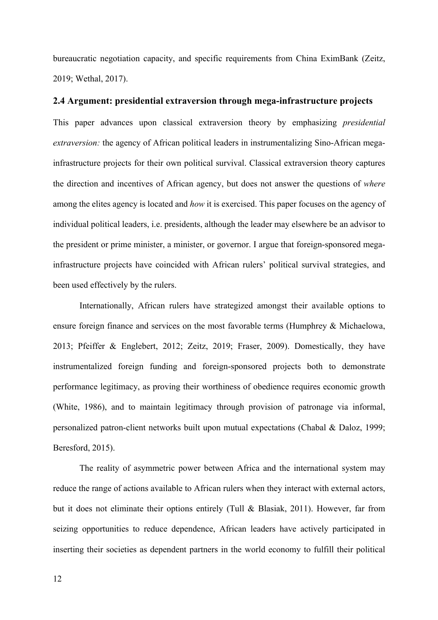bureaucratic negotiation capacity, and specific requirements from China EximBank (Zeitz, 2019; Wethal, 2017).

## **2.4 Argument: presidential extraversion through mega-infrastructure projects**

This paper advances upon classical extraversion theory by emphasizing *presidential extraversion:* the agency of African political leaders in instrumentalizing Sino-African megainfrastructure projects for their own political survival. Classical extraversion theory captures the direction and incentives of African agency, but does not answer the questions of *where* among the elites agency is located and *how* it is exercised. This paper focuses on the agency of individual political leaders, i.e. presidents, although the leader may elsewhere be an advisor to the president or prime minister, a minister, or governor. I argue that foreign-sponsored megainfrastructure projects have coincided with African rulers' political survival strategies, and been used effectively by the rulers.

Internationally, African rulers have strategized amongst their available options to ensure foreign finance and services on the most favorable terms (Humphrey & Michaelowa, 2013; Pfeiffer & Englebert, 2012; Zeitz, 2019; Fraser, 2009). Domestically, they have instrumentalized foreign funding and foreign-sponsored projects both to demonstrate performance legitimacy, as proving their worthiness of obedience requires economic growth (White, 1986), and to maintain legitimacy through provision of patronage via informal, personalized patron-client networks built upon mutual expectations (Chabal & Daloz, 1999; Beresford, 2015).

The reality of asymmetric power between Africa and the international system may reduce the range of actions available to African rulers when they interact with external actors, but it does not eliminate their options entirely (Tull & Blasiak, 2011). However, far from seizing opportunities to reduce dependence, African leaders have actively participated in inserting their societies as dependent partners in the world economy to fulfill their political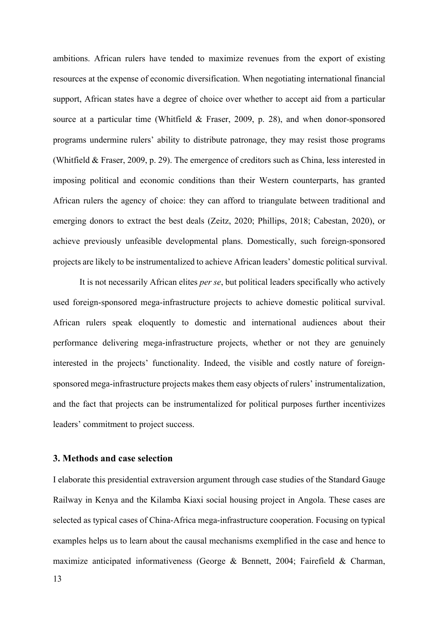ambitions. African rulers have tended to maximize revenues from the export of existing resources at the expense of economic diversification. When negotiating international financial support, African states have a degree of choice over whether to accept aid from a particular source at a particular time (Whitfield & Fraser, 2009, p. 28), and when donor-sponsored programs undermine rulers' ability to distribute patronage, they may resist those programs (Whitfield & Fraser, 2009, p. 29). The emergence of creditors such as China, less interested in imposing political and economic conditions than their Western counterparts, has granted African rulers the agency of choice: they can afford to triangulate between traditional and emerging donors to extract the best deals (Zeitz, 2020; Phillips, 2018; Cabestan, 2020), or achieve previously unfeasible developmental plans. Domestically, such foreign-sponsored projects are likely to be instrumentalized to achieve African leaders' domestic political survival.

It is not necessarily African elites *per se*, but political leaders specifically who actively used foreign-sponsored mega-infrastructure projects to achieve domestic political survival. African rulers speak eloquently to domestic and international audiences about their performance delivering mega-infrastructure projects, whether or not they are genuinely interested in the projects' functionality. Indeed, the visible and costly nature of foreignsponsored mega-infrastructure projects makes them easy objects of rulers' instrumentalization, and the fact that projects can be instrumentalized for political purposes further incentivizes leaders' commitment to project success.

### **3. Methods and case selection**

I elaborate this presidential extraversion argument through case studies of the Standard Gauge Railway in Kenya and the Kilamba Kiaxi social housing project in Angola. These cases are selected as typical cases of China-Africa mega-infrastructure cooperation. Focusing on typical examples helps us to learn about the causal mechanisms exemplified in the case and hence to maximize anticipated informativeness (George & Bennett, 2004; Fairefield & Charman,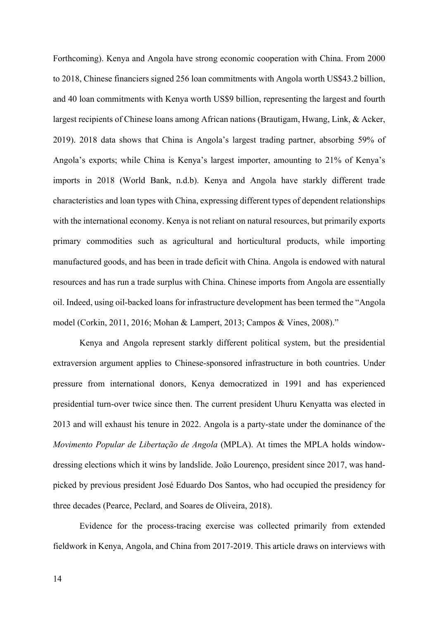Forthcoming). Kenya and Angola have strong economic cooperation with China. From 2000 to 2018, Chinese financiers signed 256 loan commitments with Angola worth US\$43.2 billion, and 40 loan commitments with Kenya worth US\$9 billion, representing the largest and fourth largest recipients of Chinese loans among African nations (Brautigam, Hwang, Link, & Acker, 2019). 2018 data shows that China is Angola's largest trading partner, absorbing 59% of Angola's exports; while China is Kenya's largest importer, amounting to 21% of Kenya's imports in 2018 (World Bank, n.d.b). Kenya and Angola have starkly different trade characteristics and loan types with China, expressing different types of dependent relationships with the international economy. Kenya is not reliant on natural resources, but primarily exports primary commodities such as agricultural and horticultural products, while importing manufactured goods, and has been in trade deficit with China. Angola is endowed with natural resources and has run a trade surplus with China. Chinese imports from Angola are essentially oil. Indeed, using oil-backed loans for infrastructure development has been termed the "Angola model (Corkin, 2011, 2016; Mohan & Lampert, 2013; Campos & Vines, 2008)."

Kenya and Angola represent starkly different political system, but the presidential extraversion argument applies to Chinese-sponsored infrastructure in both countries. Under pressure from international donors, Kenya democratized in 1991 and has experienced presidential turn-over twice since then. The current president Uhuru Kenyatta was elected in 2013 and will exhaust his tenure in 2022. Angola is a party-state under the dominance of the *Movimento Popular de Libertação de Angola* (MPLA). At times the MPLA holds windowdressing elections which it wins by landslide. João Lourenço, president since 2017, was handpicked by previous president José Eduardo Dos Santos, who had occupied the presidency for three decades (Pearce, Peclard, and Soares de Oliveira, 2018).

Evidence for the process-tracing exercise was collected primarily from extended fieldwork in Kenya, Angola, and China from 2017-2019. This article draws on interviews with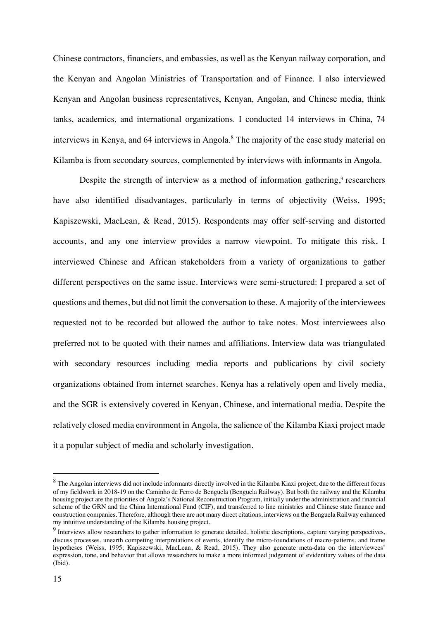Chinese contractors, financiers, and embassies, as well as the Kenyan railway corporation, and the Kenyan and Angolan Ministries of Transportation and of Finance. I also interviewed Kenyan and Angolan business representatives, Kenyan, Angolan, and Chinese media, think tanks, academics, and international organizations. I conducted 14 interviews in China, 74 interviews in Kenya, and 64 interviews in Angola.<sup>8</sup> The majority of the case study material on Kilamba is from secondary sources, complemented by interviews with informants in Angola.

Despite the strength of interview as a method of information gathering, $9$  researchers have also identified disadvantages, particularly in terms of objectivity (Weiss, 1995; Kapiszewski, MacLean, & Read, 2015). Respondents may offer self-serving and distorted accounts, and any one interview provides a narrow viewpoint. To mitigate this risk, I interviewed Chinese and African stakeholders from a variety of organizations to gather different perspectives on the same issue. Interviews were semi-structured: I prepared a set of questions and themes, but did not limit the conversation to these. A majority of the interviewees requested not to be recorded but allowed the author to take notes. Most interviewees also preferred not to be quoted with their names and affiliations. Interview data was triangulated with secondary resources including media reports and publications by civil society organizations obtained from internet searches. Kenya has a relatively open and lively media, and the SGR is extensively covered in Kenyan, Chinese, and international media. Despite the relatively closed media environment in Angola, the salience of the Kilamba Kiaxi project made it a popular subject of media and scholarly investigation.

<sup>&</sup>lt;sup>8</sup> The Angolan interviews did not include informants directly involved in the Kilamba Kiaxi project, due to the different focus of my fieldwork in 2018-19 on the Caminho de Ferro de Benguela (Benguela Railway). But both the railway and the Kilamba housing project are the priorities of Angola's National Reconstruction Program, initially under the administration and financial scheme of the GRN and the China International Fund (CIF), and transferred to line ministries and Chinese state finance and construction companies. Therefore, although there are not many direct citations, interviews on the Benguela Railway enhanced my intuitive understanding of the Kilamba housing project.

<sup>&</sup>lt;sup>9</sup> Interviews allow researchers to gather information to generate detailed, holistic descriptions, capture varying perspectives, discuss processes, unearth competing interpretations of events, identify the micro-foundations of macro-patterns, and frame hypotheses (Weiss, 1995; Kapiszewski, MacLean, & Read, 2015). They also generate meta-data on the interviewees' expression, tone, and behavior that allows researchers to make a more informed judgement of evidentiary values of the data (Ibid).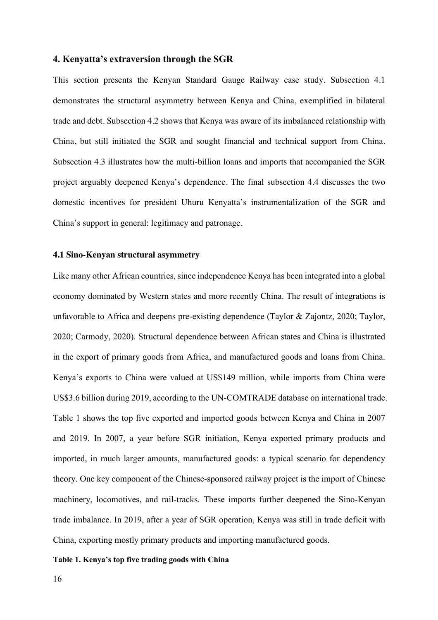#### **4. Kenyatta's extraversion through the SGR**

This section presents the Kenyan Standard Gauge Railway case study. Subsection 4.1 demonstrates the structural asymmetry between Kenya and China, exemplified in bilateral trade and debt. Subsection 4.2 shows that Kenya was aware of its imbalanced relationship with China, but still initiated the SGR and sought financial and technical support from China. Subsection 4.3 illustrates how the multi-billion loans and imports that accompanied the SGR project arguably deepened Kenya's dependence. The final subsection 4.4 discusses the two domestic incentives for president Uhuru Kenyatta's instrumentalization of the SGR and China's support in general: legitimacy and patronage.

#### **4.1 Sino-Kenyan structural asymmetry**

Like many other African countries, since independence Kenya has been integrated into a global economy dominated by Western states and more recently China. The result of integrations is unfavorable to Africa and deepens pre-existing dependence (Taylor & Zajontz, 2020; Taylor, 2020; Carmody, 2020). Structural dependence between African states and China is illustrated in the export of primary goods from Africa, and manufactured goods and loans from China. Kenya's exports to China were valued at US\$149 million, while imports from China were US\$3.6 billion during 2019, according to the UN-COMTRADE database on international trade. Table 1 shows the top five exported and imported goods between Kenya and China in 2007 and 2019. In 2007, a year before SGR initiation, Kenya exported primary products and imported, in much larger amounts, manufactured goods: a typical scenario for dependency theory. One key component of the Chinese-sponsored railway project is the import of Chinese machinery, locomotives, and rail-tracks. These imports further deepened the Sino-Kenyan trade imbalance. In 2019, after a year of SGR operation, Kenya was still in trade deficit with China, exporting mostly primary products and importing manufactured goods.

#### **Table 1. Kenya's top five trading goods with China**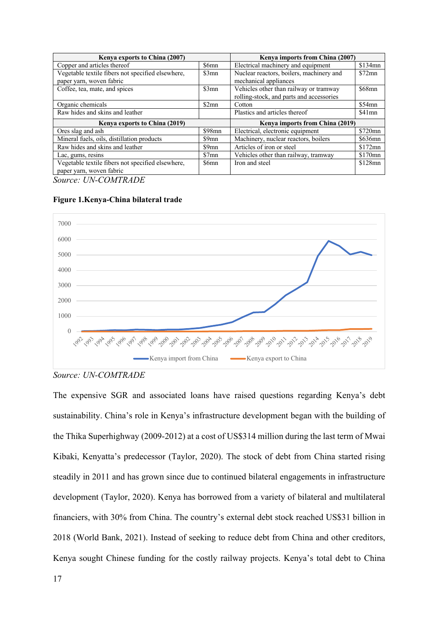| Kenya exports to China (2007)                     |          | Kenya imports from China (2007)          |           |
|---------------------------------------------------|----------|------------------------------------------|-----------|
| Copper and articles thereof                       | \$6mn    | Electrical machinery and equipment       | $$134$ mn |
| Vegetable textile fibers not specified elsewhere, | \$3mn    | Nuclear reactors, boilers, machinery and | $$72$ mn  |
| paper yarn, woven fabric                          |          | mechanical appliances                    |           |
| Coffee, tea, mate, and spices                     | \$3mn    | Vehicles other than railway or tramway   | $$68$ mn  |
|                                                   |          | rolling-stock, and parts and accessories |           |
| Organic chemicals                                 | \$2mn    | Cotton                                   | $$54$ mn  |
| Raw hides and skins and leather                   |          | Plastics and articles thereof            | $$41$ mn  |
| Kenya exports to China (2019)                     |          | Kenya imports from China (2019)          |           |
| Ores slag and ash                                 | $$98$ mn | Electrical, electronic equipment         | \$720mn   |
| Mineral fuels, oils, distillation products        | \$9mn    | Machinery, nuclear reactors, boilers     | \$636mn   |
| Raw hides and skins and leather                   | \$9mn    | Articles of iron or steel                | $$172$ mn |
| Lac, gums, resins                                 | \$7mn    | Vehicles other than railway, tramway     | \$170mn   |
| Vegetable textile fibers not specified elsewhere, | \$6mn    | Iron and steel                           | $$128$ mn |
| paper yarn, woven fabric                          |          |                                          |           |

*Source: UN-COMTRADE*





The expensive SGR and associated loans have raised questions regarding Kenya's debt sustainability. China's role in Kenya's infrastructure development began with the building of the Thika Superhighway (2009-2012) at a cost of US\$314 million during the last term of Mwai Kibaki, Kenyatta's predecessor (Taylor, 2020). The stock of debt from China started rising steadily in 2011 and has grown since due to continued bilateral engagements in infrastructure development (Taylor, 2020). Kenya has borrowed from a variety of bilateral and multilateral financiers, with 30% from China. The country's external debt stock reached US\$31 billion in 2018 (World Bank, 2021). Instead of seeking to reduce debt from China and other creditors, Kenya sought Chinese funding for the costly railway projects. Kenya's total debt to China

*Source: UN-COMTRADE*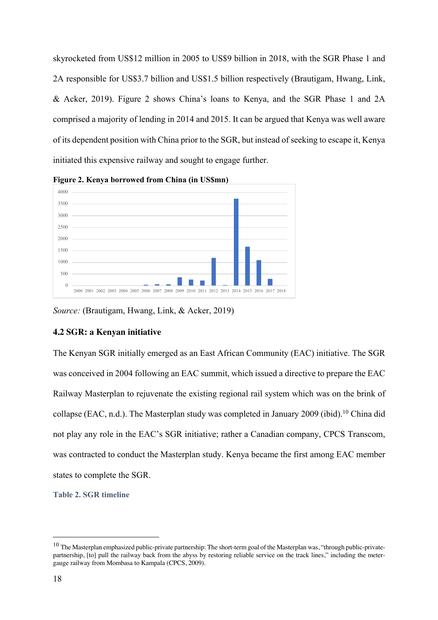skyrocketed from US\$12 million in 2005 to US\$9 billion in 2018, with the SGR Phase 1 and 2A responsible for US\$3.7 billion and US\$1.5 billion respectively (Brautigam, Hwang, Link, & Acker, 2019). Figure 2 shows China's loans to Kenya, and the SGR Phase 1 and 2A comprised a majority of lending in 2014 and 2015. It can be argued that Kenya was well aware of its dependent position with China prior to the SGR, but instead of seeking to escape it, Kenya initiated this expensive railway and sought to engage further.



**Figure 2. Kenya borrowed from China (in US\$mn)**

*Source:* (Brautigam, Hwang, Link, & Acker, 2019)

#### **4.2 SGR: a Kenyan initiative**

The Kenyan SGR initially emerged as an East African Community (EAC) initiative. The SGR was conceived in 2004 following an EAC summit, which issued a directive to prepare the EAC Railway Masterplan to rejuvenate the existing regional rail system which was on the brink of collapse (EAC, n.d.). The Masterplan study was completed in January 2009 (ibid).<sup>10</sup> China did not play any role in the EAC's SGR initiative; rather a Canadian company, CPCS Transcom, was contracted to conduct the Masterplan study. Kenya became the first among EAC member states to complete the SGR.

**Table 2. SGR timeline**

 $10$  The Masterplan emphasized public-private partnership: The short-term goal of the Masterplan was, "through public-privatepartnership, [to] pull the railway back from the abyss by restoring reliable service on the track lines," including the metergauge railway from Mombasa to Kampala (CPCS, 2009).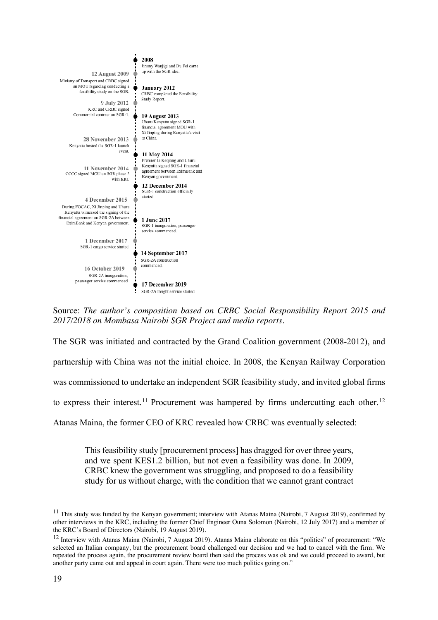| 12 August 2009                                                                                                                                          | 2008<br>Jimmy Wanjigi and Du Fei came<br>up with the SGR idea.                                                                          |
|---------------------------------------------------------------------------------------------------------------------------------------------------------|-----------------------------------------------------------------------------------------------------------------------------------------|
| Ministry of Transport and CRBC signed<br>an MOU regarding conducting a<br>feasibility study on the SGR.<br>9 July 2012                                  | January 2012<br>CRBC completed the Feasibility<br>Study Report.                                                                         |
| KRC and CRBC signed<br>Commercial contract on SGR-1.<br>28 November 2013<br>Kenyatta hosted the SGR-1 launch                                            | <b>19 August 2013</b><br>Uhuru Kenyatta signed SGR-1<br>financial agreement MOU with<br>Xi Jinping during Kenyatta's visit<br>to China. |
| event.<br>11 November 2014<br>CCCC signed MOU on SGR phase 2<br>with KRC                                                                                | 11 May 2014<br>Premier Li Keqiang and Uhuru<br>Kenyatta signed SGR-1 financial<br>agreement between EximBank and<br>Kenyan government.  |
| 4 December 2015                                                                                                                                         | 12 December 2014<br>SGR-1 construction officially<br>started                                                                            |
| During FOCAC, Xi Jinping and Uhuru<br>Kenyatta witnessed the signing of the<br>financial agreement on SGR-2A between<br>EximBank and Kenyan government. | 1 June 2017<br>SGR-1 inauguration, passenger<br>service commenced.                                                                      |
| 1 December 2017<br>SGR-1 cargo service started                                                                                                          |                                                                                                                                         |
| <b>16 October 2019</b><br>SGR-2A inauguration,                                                                                                          | 14 September 2017<br>SGR-2A construction<br>commenced.                                                                                  |
| passenger service commenced                                                                                                                             | 17 December 2019<br>SGR-2A freight service started.                                                                                     |

Source: *The author's composition based on CRBC Social Responsibility Report 2015 and 2017/2018 on Mombasa Nairobi SGR Project and media reports.*

The SGR was initiated and contracted by the Grand Coalition government (2008-2012), and partnership with China was not the initial choice. In 2008, the Kenyan Railway Corporation was commissioned to undertake an independent SGR feasibility study, and invited global firms to express their interest.<sup>11</sup> Procurement was hampered by firms undercutting each other.<sup>12</sup>

Atanas Maina, the former CEO of KRC revealed how CRBC was eventually selected:

This feasibility study [procurement process] has dragged for over three years, and we spent KES1.2 billion, but not even a feasibility was done. In 2009, CRBC knew the government was struggling, and proposed to do a feasibility study for us without charge, with the condition that we cannot grant contract

 $11$  This study was funded by the Kenyan government; interview with Atanas Maina (Nairobi, 7 August 2019), confirmed by other interviews in the KRC, including the former Chief Engineer Ouna Solomon (Nairobi, 12 July 2017) and a member of the KRC's Board of Directors (Nairobi, 19 August 2019).

<sup>&</sup>lt;sup>12</sup> Interview with Atanas Maina (Nairobi, 7 August 2019). Atanas Maina elaborate on this "politics" of procurement: "We selected an Italian company, but the procurement board challenged our decision and we had to cancel with the firm. We repeated the process again, the procurement review board then said the process was ok and we could proceed to award, but another party came out and appeal in court again. There were too much politics going on."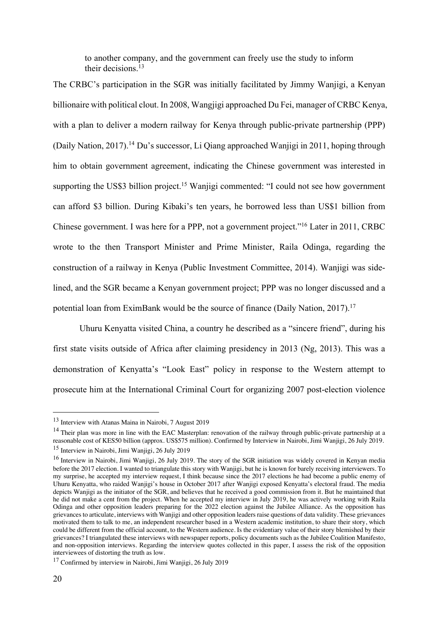to another company, and the government can freely use the study to inform their decisions.13

The CRBC's participation in the SGR was initially facilitated by Jimmy Wanjigi, a Kenyan billionaire with political clout. In 2008, Wangjigi approached Du Fei, manager of CRBC Kenya, with a plan to deliver a modern railway for Kenya through public-private partnership (PPP) (Daily Nation, 2017).14 Du's successor, Li Qiang approached Wanjigi in 2011, hoping through him to obtain government agreement, indicating the Chinese government was interested in supporting the US\$3 billion project.<sup>15</sup> Wanjigi commented: "I could not see how government can afford \$3 billion. During Kibaki's ten years, he borrowed less than US\$1 billion from Chinese government. I was here for a PPP, not a government project."16 Later in 2011, CRBC wrote to the then Transport Minister and Prime Minister, Raila Odinga, regarding the construction of a railway in Kenya (Public Investment Committee, 2014). Wanjigi was sidelined, and the SGR became a Kenyan government project; PPP was no longer discussed and a potential loan from EximBank would be the source of finance (Daily Nation, 2017).<sup>17</sup>

Uhuru Kenyatta visited China, a country he described as a "sincere friend", during his first state visits outside of Africa after claiming presidency in 2013 (Ng, 2013). This was a demonstration of Kenyatta's "Look East" policy in response to the Western attempt to prosecute him at the International Criminal Court for organizing 2007 post-election violence

<sup>13</sup> Interview with Atanas Maina in Nairobi, 7 August 2019

 $14$  Their plan was more in line with the EAC Masterplan: renovation of the railway through public-private partnership at a reasonable cost of KES50 billion (approx. US\$575 million). Confirmed by Interview in Nairobi, Jimi Wanjigi, 26 July 2019. <sup>15</sup> Interview in Nairobi, Jimi Wanjigi, 26 July 2019

<sup>&</sup>lt;sup>16</sup> Interview in Nairobi, Jimi Wanjigi, 26 July 2019. The story of the SGR initiation was widely covered in Kenyan media before the 2017 election. I wanted to triangulate this story with Wanjigi, but he is known for barely receiving interviewers. To my surprise, he accepted my interview request, I think because since the 2017 elections he had become a public enemy of Uhuru Kenyatta, who raided Wanjigi's house in October 2017 after Wanjigi exposed Kenyatta's electoral fraud. The media depicts Wanjigi as the initiator of the SGR, and believes that he received a good commission from it. But he maintained that he did not make a cent from the project. When he accepted my interview in July 2019, he was actively working with Raila Odinga and other opposition leaders preparing for the 2022 election against the Jubilee Alliance. As the opposition has grievances to articulate, interviews with Wanjigi and other opposition leaders raise questions of data validity. These grievances motivated them to talk to me, an independent researcher based in a Western academic institution, to share their story, which could be different from the official account, to the Western audience. Is the evidentiary value of their story blemished by their grievances? I triangulated these interviews with newspaper reports, policy documents such as the Jubilee Coalition Manifesto, and non-opposition interviews. Regarding the interview quotes collected in this paper, I assess the risk of the opposition interviewees of distorting the truth as low.

<sup>17</sup> Confirmed by interview in Nairobi, Jimi Wanjigi, 26 July 2019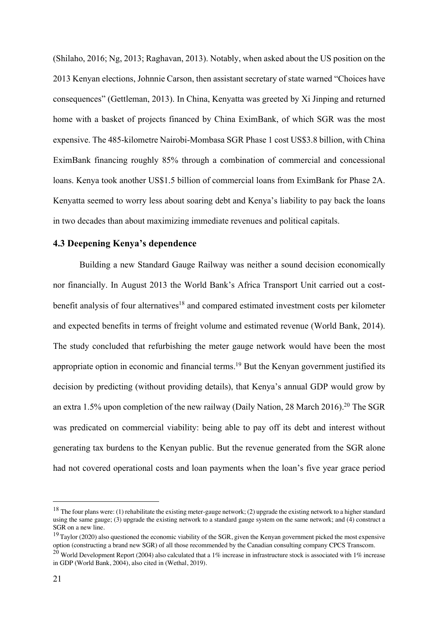(Shilaho, 2016; Ng, 2013; Raghavan, 2013). Notably, when asked about the US position on the 2013 Kenyan elections, Johnnie Carson, then assistant secretary of state warned "Choices have consequences" (Gettleman, 2013). In China, Kenyatta was greeted by Xi Jinping and returned home with a basket of projects financed by China EximBank, of which SGR was the most expensive. The 485-kilometre Nairobi-Mombasa SGR Phase 1 cost US\$3.8 billion, with China EximBank financing roughly 85% through a combination of commercial and concessional loans. Kenya took another US\$1.5 billion of commercial loans from EximBank for Phase 2A. Kenyatta seemed to worry less about soaring debt and Kenya's liability to pay back the loans in two decades than about maximizing immediate revenues and political capitals.

## **4.3 Deepening Kenya's dependence**

Building a new Standard Gauge Railway was neither a sound decision economically nor financially. In August 2013 the World Bank's Africa Transport Unit carried out a costbenefit analysis of four alternatives<sup>18</sup> and compared estimated investment costs per kilometer and expected benefits in terms of freight volume and estimated revenue (World Bank, 2014). The study concluded that refurbishing the meter gauge network would have been the most appropriate option in economic and financial terms.<sup>19</sup> But the Kenyan government justified its decision by predicting (without providing details), that Kenya's annual GDP would grow by an extra 1.5% upon completion of the new railway (Daily Nation, 28 March 2016).<sup>20</sup> The SGR was predicated on commercial viability: being able to pay off its debt and interest without generating tax burdens to the Kenyan public. But the revenue generated from the SGR alone had not covered operational costs and loan payments when the loan's five year grace period

<sup>&</sup>lt;sup>18</sup> The four plans were: (1) rehabilitate the existing meter-gauge network; (2) upgrade the existing network to a higher standard using the same gauge; (3) upgrade the existing network to a standard gauge system on the same network; and (4) construct a SGR on a new line.

 $19$  Taylor (2020) also questioned the economic viability of the SGR, given the Kenyan government picked the most expensive option (constructing a brand new SGR) of all those recommended by the Canadian consulting company CPCS Transcom.

<sup>&</sup>lt;sup>20</sup> World Development Report (2004) also calculated that a 1% increase in infrastructure stock is associated with 1% increase in GDP (World Bank, 2004), also cited in (Wethal, 2019).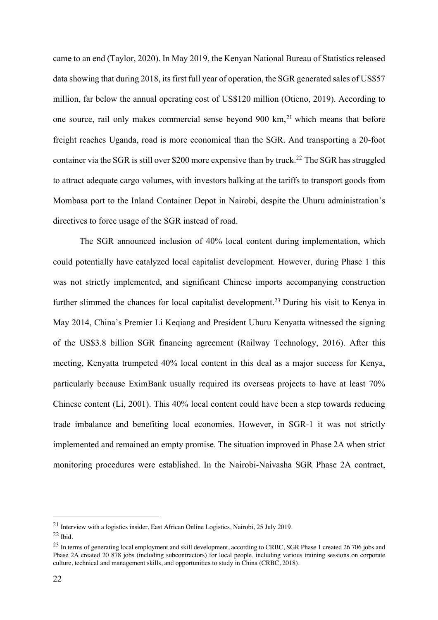came to an end (Taylor, 2020). In May 2019, the Kenyan National Bureau of Statistics released data showing that during 2018, its first full year of operation, the SGR generated sales of US\$57 million, far below the annual operating cost of US\$120 million (Otieno, 2019). According to one source, rail only makes commercial sense beyond 900 km,<sup>21</sup> which means that before freight reaches Uganda, road is more economical than the SGR. And transporting a 20-foot container via the SGR is still over \$200 more expensive than by truck.<sup>22</sup> The SGR has struggled to attract adequate cargo volumes, with investors balking at the tariffs to transport goods from Mombasa port to the Inland Container Depot in Nairobi, despite the Uhuru administration's directives to force usage of the SGR instead of road.

The SGR announced inclusion of 40% local content during implementation, which could potentially have catalyzed local capitalist development. However, during Phase 1 this was not strictly implemented, and significant Chinese imports accompanying construction further slimmed the chances for local capitalist development.<sup>23</sup> During his visit to Kenya in May 2014, China's Premier Li Keqiang and President Uhuru Kenyatta witnessed the signing of the US\$3.8 billion SGR financing agreement (Railway Technology, 2016). After this meeting, Kenyatta trumpeted 40% local content in this deal as a major success for Kenya, particularly because EximBank usually required its overseas projects to have at least 70% Chinese content (Li, 2001). This 40% local content could have been a step towards reducing trade imbalance and benefiting local economies. However, in SGR-1 it was not strictly implemented and remained an empty promise. The situation improved in Phase 2A when strict monitoring procedures were established. In the Nairobi-Naivasha SGR Phase 2A contract,

<sup>21</sup> Interview with a logistics insider, East African Online Logistics, Nairobi, 25 July 2019.

 $22$  Ibid.

<sup>&</sup>lt;sup>23</sup> In terms of generating local employment and skill development, according to CRBC, SGR Phase 1 created 26 706 jobs and Phase 2A created 20 878 jobs (including subcontractors) for local people, including various training sessions on corporate culture, technical and management skills, and opportunities to study in China (CRBC, 2018).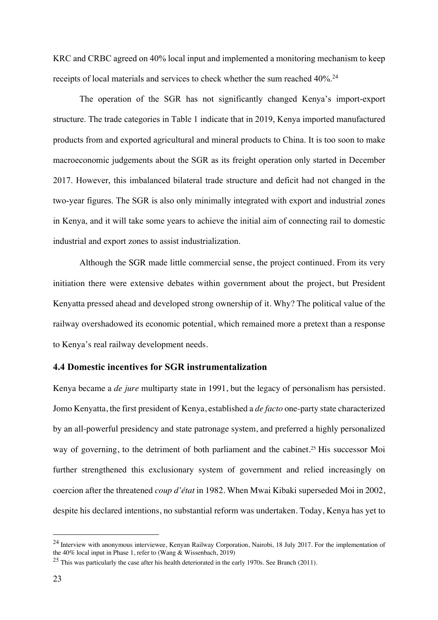KRC and CRBC agreed on 40% local input and implemented a monitoring mechanism to keep receipts of local materials and services to check whether the sum reached 40%.<sup>24</sup>

The operation of the SGR has not significantly changed Kenya's import-export structure. The trade categories in Table 1 indicate that in 2019, Kenya imported manufactured products from and exported agricultural and mineral products to China. It is too soon to make macroeconomic judgements about the SGR as its freight operation only started in December 2017. However, this imbalanced bilateral trade structure and deficit had not changed in the two-year figures. The SGR is also only minimally integrated with export and industrial zones in Kenya, and it will take some years to achieve the initial aim of connecting rail to domestic industrial and export zones to assist industrialization.

Although the SGR made little commercial sense, the project continued. From its very initiation there were extensive debates within government about the project, but President Kenyatta pressed ahead and developed strong ownership of it. Why? The political value of the railway overshadowed its economic potential, which remained more a pretext than a response to Kenya's real railway development needs.

# **4.4 Domestic incentives for SGR instrumentalization**

Kenya became a *de jure* multiparty state in 1991, but the legacy of personalism has persisted. Jomo Kenyatta, the first president of Kenya, established a *de facto* one-party state characterized by an all-powerful presidency and state patronage system, and preferred a highly personalized way of governing, to the detriment of both parliament and the cabinet.<sup>25</sup> His successor Moi further strengthened this exclusionary system of government and relied increasingly on coercion after the threatened *coup d'état* in 1982. When Mwai Kibaki superseded Moi in 2002, despite his declared intentions, no substantial reform was undertaken. Today, Kenya has yet to

<sup>&</sup>lt;sup>24</sup> Interview with anonymous interviewee, Kenyan Railway Corporation, Nairobi, 18 July 2017. For the implementation of the 40% local input in Phase 1, refer to (Wang & Wissenbach, 2019)

<sup>&</sup>lt;sup>25</sup> This was particularly the case after his health deteriorated in the early 1970s. See Branch (2011).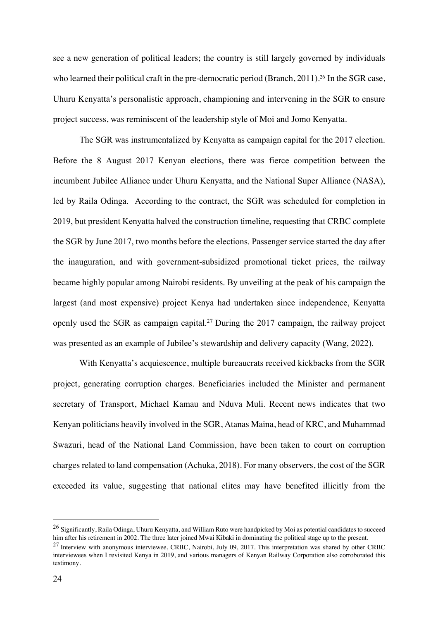see a new generation of political leaders; the country is still largely governed by individuals who learned their political craft in the pre-democratic period (Branch, 2011).<sup>26</sup> In the SGR case, Uhuru Kenyatta's personalistic approach, championing and intervening in the SGR to ensure project success, was reminiscent of the leadership style of Moi and Jomo Kenyatta.

The SGR was instrumentalized by Kenyatta as campaign capital for the 2017 election. Before the 8 August 2017 Kenyan elections, there was fierce competition between the incumbent Jubilee Alliance under Uhuru Kenyatta, and the National Super Alliance (NASA), led by Raila Odinga. According to the contract, the SGR was scheduled for completion in 2019, but president Kenyatta halved the construction timeline, requesting that CRBC complete the SGR by June 2017, two months before the elections. Passenger service started the day after the inauguration, and with government-subsidized promotional ticket prices, the railway became highly popular among Nairobi residents. By unveiling at the peak of his campaign the largest (and most expensive) project Kenya had undertaken since independence, Kenyatta openly used the SGR as campaign capital.<sup>27</sup> During the 2017 campaign, the railway project was presented as an example of Jubilee's stewardship and delivery capacity (Wang, 2022).

With Kenyatta's acquiescence, multiple bureaucrats received kickbacks from the SGR project, generating corruption charges. Beneficiaries included the Minister and permanent secretary of Transport, Michael Kamau and Nduva Muli. Recent news indicates that two Kenyan politicians heavily involved in the SGR, Atanas Maina, head of KRC, and Muhammad Swazuri, head of the National Land Commission, have been taken to court on corruption charges related to land compensation (Achuka, 2018). For many observers, the cost of the SGR exceeded its value, suggesting that national elites may have benefited illicitly from the

 $^{26}$  Significantly, Raila Odinga, Uhuru Kenyatta, and William Ruto were handpicked by Moi as potential candidates to succeed him after his retirement in 2002. The three later joined Mwai Kibaki in dominating the political stage up to the present.

 $27$  Interview with anonymous interviewee, CRBC, Nairobi, July 09, 2017. This interpretation was shared by other CRBC interviewees when I revisited Kenya in 2019, and various managers of Kenyan Railway Corporation also corroborated this testimony.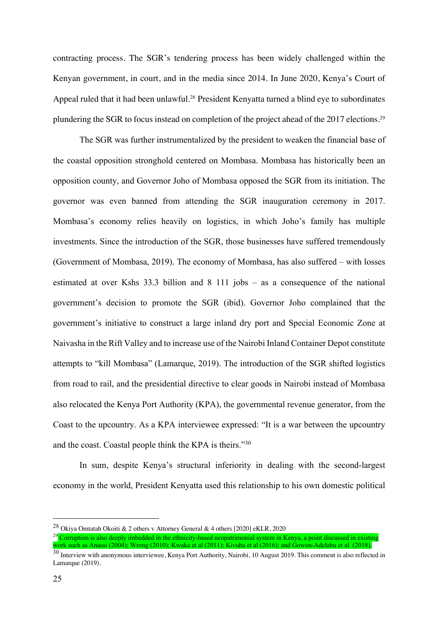contracting process. The SGR's tendering process has been widely challenged within the Kenyan government, in court, and in the media since 2014. In June 2020, Kenya's Court of Appeal ruled that it had been unlawful.<sup>28</sup> President Kenyatta turned a blind eye to subordinates plundering the SGR to focus instead on completion of the project ahead of the 2017 elections.29

The SGR was further instrumentalized by the president to weaken the financial base of the coastal opposition stronghold centered on Mombasa. Mombasa has historically been an opposition county, and Governor Joho of Mombasa opposed the SGR from its initiation. The governor was even banned from attending the SGR inauguration ceremony in 2017. Mombasa's economy relies heavily on logistics, in which Joho's family has multiple investments. Since the introduction of the SGR, those businesses have suffered tremendously (Government of Mombasa, 2019). The economy of Mombasa, has also suffered – with losses estimated at over Kshs 33.3 billion and 8 111 jobs – as a consequence of the national government's decision to promote the SGR (ibid). Governor Joho complained that the government's initiative to construct a large inland dry port and Special Economic Zone at Naivasha in the Rift Valley and to increase use of the Nairobi Inland Container Depot constitute attempts to "kill Mombasa" (Lamarque, 2019). The introduction of the SGR shifted logistics from road to rail, and the presidential directive to clear goods in Nairobi instead of Mombasa also relocated the Kenya Port Authority (KPA), the governmental revenue generator, from the Coast to the upcountry. As a KPA interviewee expressed: "It is a war between the upcountry and the coast. Coastal people think the KPA is theirs."30

In sum, despite Kenya's structural inferiority in dealing with the second-largest economy in the world, President Kenyatta used this relationship to his own domestic political

<sup>28</sup> Okiya Omtatah Okoiti & 2 others v Attorney General & 4 others [2020] eKLR, 2020

<sup>&</sup>lt;sup>29</sup> Corruption is also deeply imbedded in the ethnicity-based neopatrimonial system in Kenya, a point discussed in existing work such as Anassi (2004); Wrong (2010); Kwaka et al (2011); Kivuha et al (2016); and Gowon-Adelabu et al. (2018).

<sup>&</sup>lt;sup>30</sup> Interview with anonymous interviewee, Kenya Port Authority, Nairobi, 10 August 2019. This comment is also reflected in Lamarque (2019).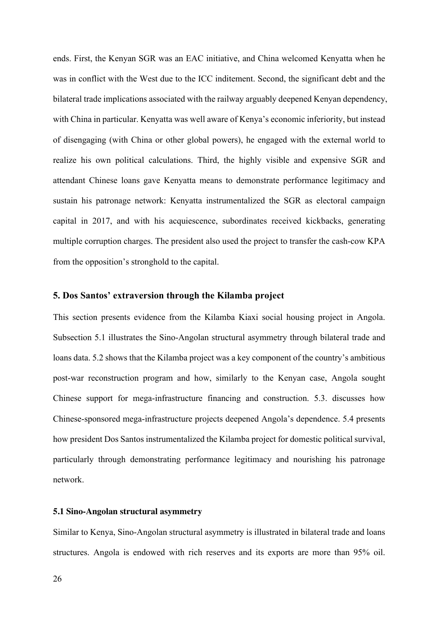ends. First, the Kenyan SGR was an EAC initiative, and China welcomed Kenyatta when he was in conflict with the West due to the ICC inditement. Second, the significant debt and the bilateral trade implications associated with the railway arguably deepened Kenyan dependency, with China in particular. Kenyatta was well aware of Kenya's economic inferiority, but instead of disengaging (with China or other global powers), he engaged with the external world to realize his own political calculations. Third, the highly visible and expensive SGR and attendant Chinese loans gave Kenyatta means to demonstrate performance legitimacy and sustain his patronage network: Kenyatta instrumentalized the SGR as electoral campaign capital in 2017, and with his acquiescence, subordinates received kickbacks, generating multiple corruption charges. The president also used the project to transfer the cash-cow KPA from the opposition's stronghold to the capital.

## **5. Dos Santos' extraversion through the Kilamba project**

This section presents evidence from the Kilamba Kiaxi social housing project in Angola. Subsection 5.1 illustrates the Sino-Angolan structural asymmetry through bilateral trade and loans data. 5.2 shows that the Kilamba project was a key component of the country's ambitious post-war reconstruction program and how, similarly to the Kenyan case, Angola sought Chinese support for mega-infrastructure financing and construction. 5.3. discusses how Chinese-sponsored mega-infrastructure projects deepened Angola's dependence. 5.4 presents how president Dos Santos instrumentalized the Kilamba project for domestic political survival, particularly through demonstrating performance legitimacy and nourishing his patronage network.

#### **5.1 Sino-Angolan structural asymmetry**

Similar to Kenya, Sino-Angolan structural asymmetry is illustrated in bilateral trade and loans structures. Angola is endowed with rich reserves and its exports are more than 95% oil.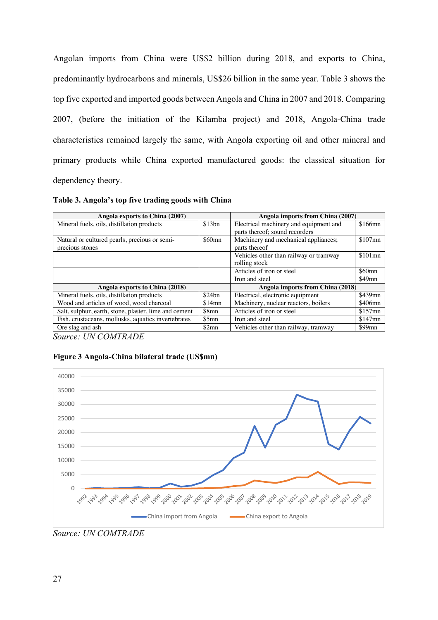Angolan imports from China were US\$2 billion during 2018, and exports to China, predominantly hydrocarbons and minerals, US\$26 billion in the same year. Table 3 shows the top five exported and imported goods between Angola and China in 2007 and 2018. Comparing 2007, (before the initiation of the Kilamba project) and 2018, Angola-China trade characteristics remained largely the same, with Angola exporting oil and other mineral and primary products while China exported manufactured goods: the classical situation for dependency theory.

**Table 3. Angola's top five trading goods with China**

| Angola exports to China (2007)                        |          | Angola imports from China (2007)       |           |
|-------------------------------------------------------|----------|----------------------------------------|-----------|
| Mineral fuels, oils, distillation products            | \$13bn   | Electrical machinery and equipment and | $$166$ mn |
|                                                       |          | parts thereof; sound recorders         |           |
| Natural or cultured pearls, precious or semi-         | $$60$ mn | Machinery and mechanical appliances;   | $$107$ mn |
| precious stones                                       |          | parts thereof                          |           |
|                                                       |          | Vehicles other than railway or tramway | $$101$ mn |
|                                                       |          | rolling stock                          |           |
|                                                       |          | Articles of iron or steel              | $$60$ mn  |
|                                                       |          | Iron and steel                         | $$49$ mn  |
| Angola exports to China (2018)                        |          | Angola imports from China (2018)       |           |
| Mineral fuels, oils, distillation products            | \$24bn   | Electrical, electronic equipment       | $$439$ mn |
| Wood and articles of wood, wood charcoal              | \$14mn   | Machinery, nuclear reactors, boilers   | \$406mn   |
| Salt, sulphur, earth, stone, plaster, lime and cement | \$8mn    | Articles of iron or steel              | $$157$ mn |
| Fish, crustaceans, mollusks, aquatics invertebrates   | \$5mn    | Iron and steel                         | $$147$ mn |
| Ore slag and ash                                      | \$2mn    | Vehicles other than railway, tramway   | $$99$ mn  |

*Source: UN COMTRADE*

#### **Figure 3 Angola-China bilateral trade (US\$mn)**



*Source: UN COMTRADE*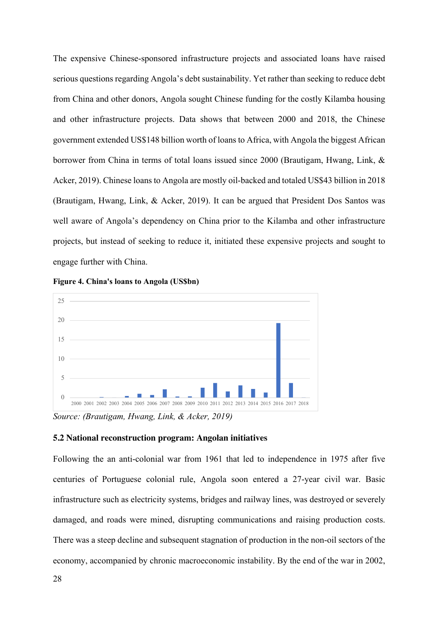The expensive Chinese-sponsored infrastructure projects and associated loans have raised serious questions regarding Angola's debt sustainability. Yet rather than seeking to reduce debt from China and other donors, Angola sought Chinese funding for the costly Kilamba housing and other infrastructure projects. Data shows that between 2000 and 2018, the Chinese government extended US\$148 billion worth of loans to Africa, with Angola the biggest African borrower from China in terms of total loans issued since 2000 (Brautigam, Hwang, Link, & Acker, 2019). Chinese loans to Angola are mostly oil-backed and totaled US\$43 billion in 2018 (Brautigam, Hwang, Link, & Acker, 2019). It can be argued that President Dos Santos was well aware of Angola's dependency on China prior to the Kilamba and other infrastructure projects, but instead of seeking to reduce it, initiated these expensive projects and sought to engage further with China.





*Source: (Brautigam, Hwang, Link, & Acker, 2019)*

#### **5.2 National reconstruction program: Angolan initiatives**

Following the an anti-colonial war from 1961 that led to independence in 1975 after five centuries of Portuguese colonial rule, Angola soon entered a 27-year civil war. Basic infrastructure such as electricity systems, bridges and railway lines, was destroyed or severely damaged, and roads were mined, disrupting communications and raising production costs. There was a steep decline and subsequent stagnation of production in the non-oil sectors of the economy, accompanied by chronic macroeconomic instability. By the end of the war in 2002,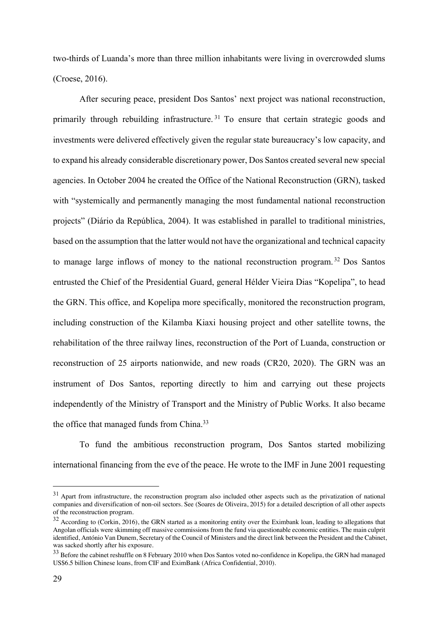two-thirds of Luanda's more than three million inhabitants were living in overcrowded slums (Croese, 2016).

After securing peace, president Dos Santos' next project was national reconstruction, primarily through rebuilding infrastructure. <sup>31</sup> To ensure that certain strategic goods and investments were delivered effectively given the regular state bureaucracy's low capacity, and to expand his already considerable discretionary power, Dos Santos created several new special agencies. In October 2004 he created the Office of the National Reconstruction (GRN), tasked with "systemically and permanently managing the most fundamental national reconstruction projects" (Diário da República, 2004). It was established in parallel to traditional ministries, based on the assumption that the latter would not have the organizational and technical capacity to manage large inflows of money to the national reconstruction program. <sup>32</sup> Dos Santos entrusted the Chief of the Presidential Guard, general Hélder Vieira Dias "Kopelipa", to head the GRN. This office, and Kopelipa more specifically, monitored the reconstruction program, including construction of the Kilamba Kiaxi housing project and other satellite towns, the rehabilitation of the three railway lines, reconstruction of the Port of Luanda, construction or reconstruction of 25 airports nationwide, and new roads (CR20, 2020). The GRN was an instrument of Dos Santos, reporting directly to him and carrying out these projects independently of the Ministry of Transport and the Ministry of Public Works. It also became the office that managed funds from China.33

To fund the ambitious reconstruction program, Dos Santos started mobilizing international financing from the eve of the peace. He wrote to the IMF in June 2001 requesting

 $31$  Apart from infrastructure, the reconstruction program also included other aspects such as the privatization of national companies and diversification of non-oil sectors. See (Soares de Oliveira, 2015) for a detailed description of all other aspects of the reconstruction program.

 $32$  According to (Corkin, 2016), the GRN started as a monitoring entity over the Eximbank loan, leading to allegations that Angolan officials were skimming off massive commissions from the fund via questionable economic entities. The main culprit identified, António Van Dunem, Secretary of the Council of Ministers and the direct link between the President and the Cabinet, was sacked shortly after his exposure.

<sup>&</sup>lt;sup>33</sup> Before the cabinet reshuffle on 8 February 2010 when Dos Santos voted no-confidence in Kopelipa, the GRN had managed US\$6.5 billion Chinese loans, from CIF and EximBank (Africa Confidential, 2010).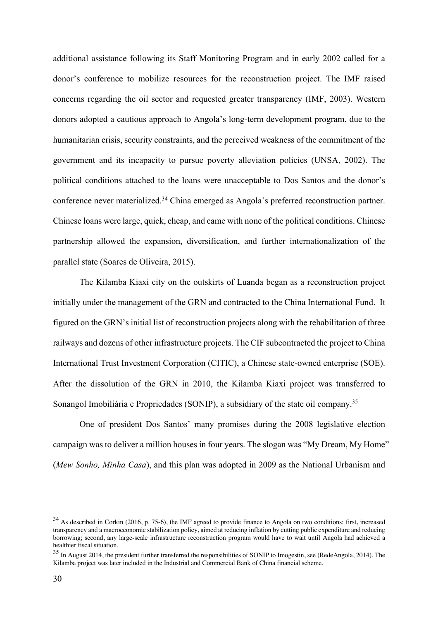additional assistance following its Staff Monitoring Program and in early 2002 called for a donor's conference to mobilize resources for the reconstruction project. The IMF raised concerns regarding the oil sector and requested greater transparency (IMF, 2003). Western donors adopted a cautious approach to Angola's long-term development program, due to the humanitarian crisis, security constraints, and the perceived weakness of the commitment of the government and its incapacity to pursue poverty alleviation policies (UNSA, 2002). The political conditions attached to the loans were unacceptable to Dos Santos and the donor's conference never materialized.34 China emerged as Angola's preferred reconstruction partner. Chinese loans were large, quick, cheap, and came with none of the political conditions. Chinese partnership allowed the expansion, diversification, and further internationalization of the parallel state (Soares de Oliveira, 2015).

The Kilamba Kiaxi city on the outskirts of Luanda began as a reconstruction project initially under the management of the GRN and contracted to the China International Fund. It figured on the GRN's initial list of reconstruction projects along with the rehabilitation of three railways and dozens of other infrastructure projects. The CIF subcontracted the project to China International Trust Investment Corporation (CITIC), a Chinese state-owned enterprise (SOE). After the dissolution of the GRN in 2010, the Kilamba Kiaxi project was transferred to Sonangol Imobiliária e Propriedades (SONIP), a subsidiary of the state oil company.35

One of president Dos Santos' many promises during the 2008 legislative election campaign was to deliver a million houses in four years. The slogan was "My Dream, My Home" (*Mew Sonho, Minha Casa*), and this plan was adopted in 2009 as the National Urbanism and

<sup>&</sup>lt;sup>34</sup> As described in Corkin (2016, p. 75-6), the IMF agreed to provide finance to Angola on two conditions: first, increased transparency and a macroeconomic stabilization policy, aimed at reducing inflation by cutting public expenditure and reducing borrowing; second, any large-scale infrastructure reconstruction program would have to wait until Angola had achieved a healthier fiscal situation.

<sup>&</sup>lt;sup>35</sup> In August 2014, the president further transferred the responsibilities of SONIP to Imogestin, see (RedeAngola, 2014). The Kilamba project was later included in the Industrial and Commercial Bank of China financial scheme.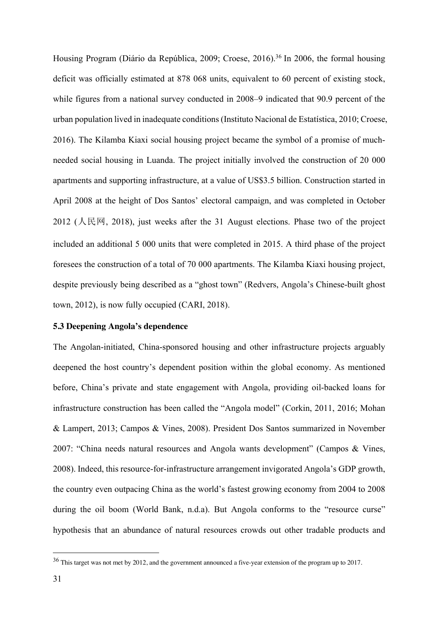Housing Program (Diário da República, 2009; Croese, 2016).<sup>36</sup> In 2006, the formal housing deficit was officially estimated at 878 068 units, equivalent to 60 percent of existing stock, while figures from a national survey conducted in 2008–9 indicated that 90.9 percent of the urban population lived in inadequate conditions (Instituto Nacional de Estatística, 2010; Croese, 2016). The Kilamba Kiaxi social housing project became the symbol of a promise of muchneeded social housing in Luanda. The project initially involved the construction of 20 000 apartments and supporting infrastructure, at a value of US\$3.5 billion. Construction started in April 2008 at the height of Dos Santos' electoral campaign, and was completed in October  $2012$  (人民网, 2018), just weeks after the 31 August elections. Phase two of the project included an additional 5 000 units that were completed in 2015. A third phase of the project foresees the construction of a total of 70 000 apartments. The Kilamba Kiaxi housing project, despite previously being described as a "ghost town" (Redvers, Angola's Chinese-built ghost town, 2012), is now fully occupied (CARI, 2018).

## **5.3 Deepening Angola's dependence**

The Angolan-initiated, China-sponsored housing and other infrastructure projects arguably deepened the host country's dependent position within the global economy. As mentioned before, China's private and state engagement with Angola, providing oil-backed loans for infrastructure construction has been called the "Angola model" (Corkin, 2011, 2016; Mohan & Lampert, 2013; Campos & Vines, 2008). President Dos Santos summarized in November 2007: "China needs natural resources and Angola wants development" (Campos & Vines, 2008). Indeed, this resource-for-infrastructure arrangement invigorated Angola's GDP growth, the country even outpacing China as the world's fastest growing economy from 2004 to 2008 during the oil boom (World Bank, n.d.a). But Angola conforms to the "resource curse" hypothesis that an abundance of natural resources crowds out other tradable products and

<sup>&</sup>lt;sup>36</sup> This target was not met by 2012, and the government announced a five-year extension of the program up to 2017.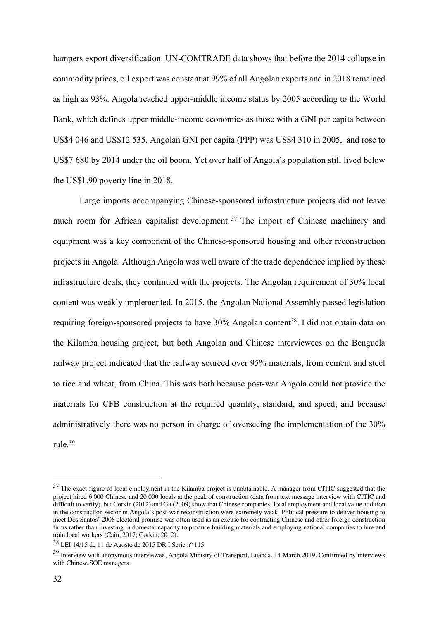hampers export diversification. UN-COMTRADE data shows that before the 2014 collapse in commodity prices, oil export was constant at 99% of all Angolan exports and in 2018 remained as high as 93%. Angola reached upper-middle income status by 2005 according to the World Bank, which defines upper middle-income economies as those with a GNI per capita between US\$4 046 and US\$12 535. Angolan GNI per capita (PPP) was US\$4 310 in 2005, and rose to US\$7 680 by 2014 under the oil boom. Yet over half of Angola's population still lived below the US\$1.90 poverty line in 2018.

Large imports accompanying Chinese-sponsored infrastructure projects did not leave much room for African capitalist development. <sup>37</sup> The import of Chinese machinery and equipment was a key component of the Chinese-sponsored housing and other reconstruction projects in Angola. Although Angola was well aware of the trade dependence implied by these infrastructure deals, they continued with the projects. The Angolan requirement of 30% local content was weakly implemented. In 2015, the Angolan National Assembly passed legislation requiring foreign-sponsored projects to have 30% Angolan content<sup>38</sup>. I did not obtain data on the Kilamba housing project, but both Angolan and Chinese interviewees on the Benguela railway project indicated that the railway sourced over 95% materials, from cement and steel to rice and wheat, from China. This was both because post-war Angola could not provide the materials for CFB construction at the required quantity, standard, and speed, and because administratively there was no person in charge of overseeing the implementation of the 30% rule.39

<sup>&</sup>lt;sup>37</sup> The exact figure of local employment in the Kilamba project is unobtainable. A manager from CITIC suggested that the project hired 6 000 Chinese and 20 000 locals at the peak of construction (data from text message interview with CITIC and difficult to verify), but Corkin (2012) and Gu (2009) show that Chinese companies' local employment and local value addition in the construction sector in Angola's post-war reconstruction were extremely weak. Political pressure to deliver housing to meet Dos Santos' 2008 electoral promise was often used as an excuse for contracting Chinese and other foreign construction firms rather than investing in domestic capacity to produce building materials and employing national companies to hire and train local workers (Cain, 2017; Corkin, 2012).

<sup>38</sup> LEI 14/15 de 11 de Agosto de 2015 DR I Serie nº 115

<sup>&</sup>lt;sup>39</sup> Interview with anonymous interviewee, Angola Ministry of Transport, Luanda, 14 March 2019. Confirmed by interviews with Chinese SOE managers.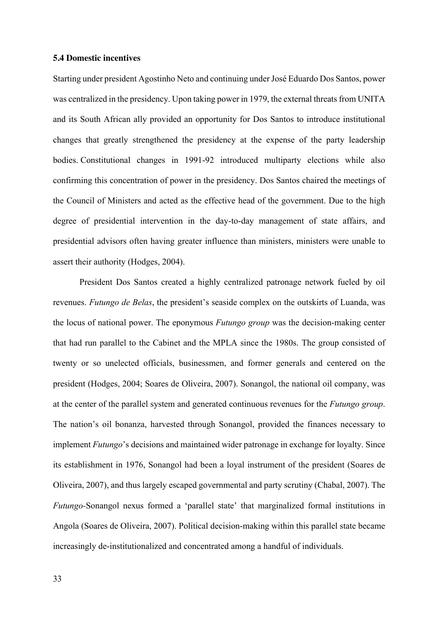#### **5.4 Domestic incentives**

Starting under president Agostinho Neto and continuing under José Eduardo Dos Santos, power was centralized in the presidency. Upon taking power in 1979, the external threats from UNITA and its South African ally provided an opportunity for Dos Santos to introduce institutional changes that greatly strengthened the presidency at the expense of the party leadership bodies. Constitutional changes in 1991-92 introduced multiparty elections while also confirming this concentration of power in the presidency. Dos Santos chaired the meetings of the Council of Ministers and acted as the effective head of the government. Due to the high degree of presidential intervention in the day-to-day management of state affairs, and presidential advisors often having greater influence than ministers, ministers were unable to assert their authority (Hodges, 2004).

President Dos Santos created a highly centralized patronage network fueled by oil revenues. *Futungo de Belas*, the president's seaside complex on the outskirts of Luanda, was the locus of national power. The eponymous *Futungo group* was the decision-making center that had run parallel to the Cabinet and the MPLA since the 1980s. The group consisted of twenty or so unelected officials, businessmen, and former generals and centered on the president (Hodges, 2004; Soares de Oliveira, 2007). Sonangol, the national oil company, was at the center of the parallel system and generated continuous revenues for the *Futungo group*. The nation's oil bonanza, harvested through Sonangol, provided the finances necessary to implement *Futungo*'s decisions and maintained wider patronage in exchange for loyalty. Since its establishment in 1976, Sonangol had been a loyal instrument of the president (Soares de Oliveira, 2007), and thus largely escaped governmental and party scrutiny (Chabal, 2007). The *Futungo-*Sonangol nexus formed a 'parallel state' that marginalized formal institutions in Angola (Soares de Oliveira, 2007). Political decision-making within this parallel state became increasingly de-institutionalized and concentrated among a handful of individuals.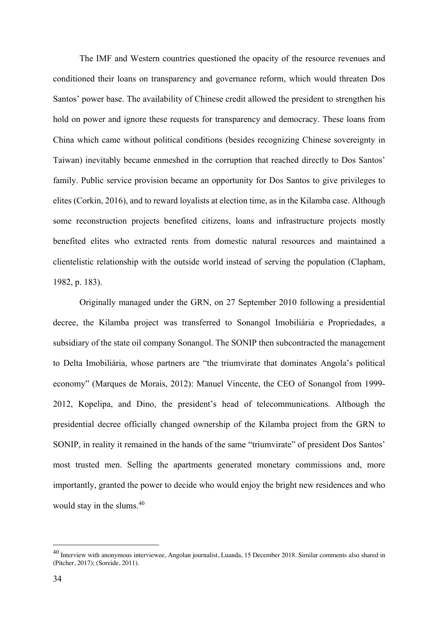The IMF and Western countries questioned the opacity of the resource revenues and conditioned their loans on transparency and governance reform, which would threaten Dos Santos' power base. The availability of Chinese credit allowed the president to strengthen his hold on power and ignore these requests for transparency and democracy. These loans from China which came without political conditions (besides recognizing Chinese sovereignty in Taiwan) inevitably became enmeshed in the corruption that reached directly to Dos Santos' family. Public service provision became an opportunity for Dos Santos to give privileges to elites (Corkin, 2016), and to reward loyalists at election time, as in the Kilamba case. Although some reconstruction projects benefited citizens, loans and infrastructure projects mostly benefited elites who extracted rents from domestic natural resources and maintained a clientelistic relationship with the outside world instead of serving the population (Clapham, 1982, p. 183).

Originally managed under the GRN, on 27 September 2010 following a presidential decree, the Kilamba project was transferred to Sonangol Imobiliária e Propriedades, a subsidiary of the state oil company Sonangol. The SONIP then subcontracted the management to Delta Imobiliária, whose partners are "the triumvirate that dominates Angola's political economy" (Marques de Morais, 2012): Manuel Vincente, the CEO of Sonangol from 1999- 2012, Kopelipa, and Dino, the president's head of telecommunications. Although the presidential decree officially changed ownership of the Kilamba project from the GRN to SONIP, in reality it remained in the hands of the same "triumvirate" of president Dos Santos' most trusted men. Selling the apartments generated monetary commissions and, more importantly, granted the power to decide who would enjoy the bright new residences and who would stay in the slums.40

<sup>40</sup> Interview with anonymous interviewee, Angolan journalist, Luanda, 15 December 2018. Similar comments also shared in (Pitcher, 2017); (Soreide, 2011).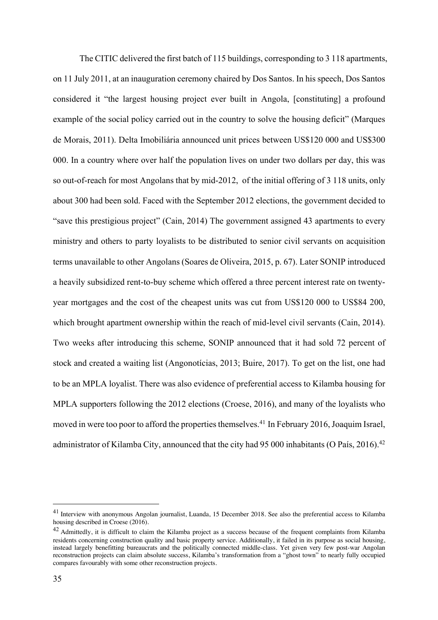The CITIC delivered the first batch of 115 buildings, corresponding to 3 118 apartments, on 11 July 2011, at an inauguration ceremony chaired by Dos Santos. In his speech, Dos Santos considered it "the largest housing project ever built in Angola, [constituting] a profound example of the social policy carried out in the country to solve the housing deficit" (Marques de Morais, 2011). Delta Imobiliária announced unit prices between US\$120 000 and US\$300 000. In a country where over half the population lives on under two dollars per day, this was so out-of-reach for most Angolans that by mid-2012, of the initial offering of 3 118 units, only about 300 had been sold. Faced with the September 2012 elections, the government decided to "save this prestigious project" (Cain, 2014) The government assigned 43 apartments to every ministry and others to party loyalists to be distributed to senior civil servants on acquisition terms unavailable to other Angolans (Soares de Oliveira, 2015, p. 67). Later SONIP introduced a heavily subsidized rent-to-buy scheme which offered a three percent interest rate on twentyyear mortgages and the cost of the cheapest units was cut from US\$120 000 to US\$84 200, which brought apartment ownership within the reach of mid-level civil servants (Cain, 2014). Two weeks after introducing this scheme, SONIP announced that it had sold 72 percent of stock and created a waiting list (Angonotícias, 2013; Buire, 2017). To get on the list, one had to be an MPLA loyalist. There was also evidence of preferential access to Kilamba housing for MPLA supporters following the 2012 elections (Croese, 2016), and many of the loyalists who moved in were too poor to afford the properties themselves.<sup>41</sup> In February 2016, Joaquim Israel, administrator of Kilamba City, announced that the city had 95 000 inhabitants (O País, 2016).<sup>42</sup>

<sup>41</sup> Interview with anonymous Angolan journalist, Luanda, 15 December 2018. See also the preferential access to Kilamba housing described in Croese (2016).

<sup>&</sup>lt;sup>42</sup> Admittedly, it is difficult to claim the Kilamba project as a success because of the frequent complaints from Kilamba residents concerning construction quality and basic property service. Additionally, it failed in its purpose as social housing, instead largely benefitting bureaucrats and the politically connected middle-class. Yet given very few post-war Angolan reconstruction projects can claim absolute success, Kilamba's transformation from a "ghost town" to nearly fully occupied compares favourably with some other reconstruction projects.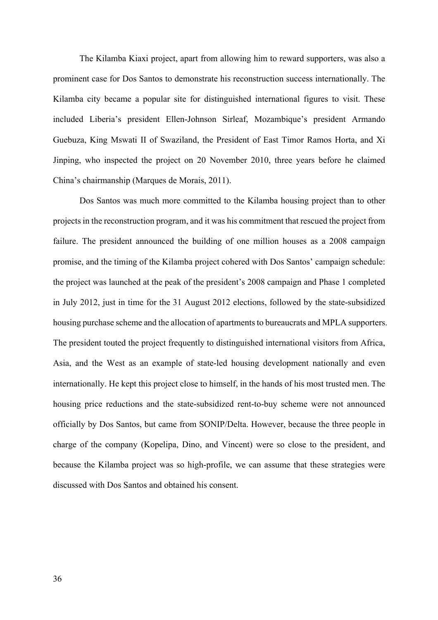The Kilamba Kiaxi project, apart from allowing him to reward supporters, was also a prominent case for Dos Santos to demonstrate his reconstruction success internationally. The Kilamba city became a popular site for distinguished international figures to visit. These included Liberia's president Ellen-Johnson Sirleaf, Mozambique's president Armando Guebuza, King Mswati II of Swaziland, the President of East Timor Ramos Horta, and Xi Jinping, who inspected the project on 20 November 2010, three years before he claimed China's chairmanship (Marques de Morais, 2011).

Dos Santos was much more committed to the Kilamba housing project than to other projects in the reconstruction program, and it was his commitment that rescued the project from failure. The president announced the building of one million houses as a 2008 campaign promise, and the timing of the Kilamba project cohered with Dos Santos' campaign schedule: the project was launched at the peak of the president's 2008 campaign and Phase 1 completed in July 2012, just in time for the 31 August 2012 elections, followed by the state-subsidized housing purchase scheme and the allocation of apartments to bureaucrats and MPLA supporters. The president touted the project frequently to distinguished international visitors from Africa, Asia, and the West as an example of state-led housing development nationally and even internationally. He kept this project close to himself, in the hands of his most trusted men. The housing price reductions and the state-subsidized rent-to-buy scheme were not announced officially by Dos Santos, but came from SONIP/Delta. However, because the three people in charge of the company (Kopelipa, Dino, and Vincent) were so close to the president, and because the Kilamba project was so high-profile, we can assume that these strategies were discussed with Dos Santos and obtained his consent.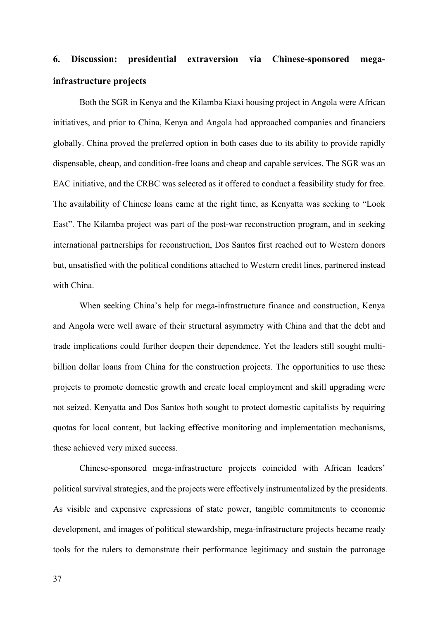# **6. Discussion: presidential extraversion via Chinese-sponsored megainfrastructure projects**

Both the SGR in Kenya and the Kilamba Kiaxi housing project in Angola were African initiatives, and prior to China, Kenya and Angola had approached companies and financiers globally. China proved the preferred option in both cases due to its ability to provide rapidly dispensable, cheap, and condition-free loans and cheap and capable services. The SGR was an EAC initiative, and the CRBC was selected as it offered to conduct a feasibility study for free. The availability of Chinese loans came at the right time, as Kenyatta was seeking to "Look East". The Kilamba project was part of the post-war reconstruction program, and in seeking international partnerships for reconstruction, Dos Santos first reached out to Western donors but, unsatisfied with the political conditions attached to Western credit lines, partnered instead with China.

When seeking China's help for mega-infrastructure finance and construction, Kenya and Angola were well aware of their structural asymmetry with China and that the debt and trade implications could further deepen their dependence. Yet the leaders still sought multibillion dollar loans from China for the construction projects. The opportunities to use these projects to promote domestic growth and create local employment and skill upgrading were not seized. Kenyatta and Dos Santos both sought to protect domestic capitalists by requiring quotas for local content, but lacking effective monitoring and implementation mechanisms, these achieved very mixed success.

Chinese-sponsored mega-infrastructure projects coincided with African leaders' political survival strategies, and the projects were effectively instrumentalized by the presidents. As visible and expensive expressions of state power, tangible commitments to economic development, and images of political stewardship, mega-infrastructure projects became ready tools for the rulers to demonstrate their performance legitimacy and sustain the patronage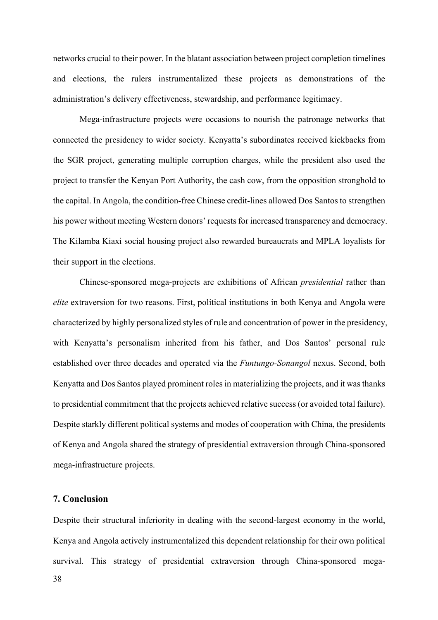networks crucial to their power. In the blatant association between project completion timelines and elections, the rulers instrumentalized these projects as demonstrations of the administration's delivery effectiveness, stewardship, and performance legitimacy.

Mega-infrastructure projects were occasions to nourish the patronage networks that connected the presidency to wider society. Kenyatta's subordinates received kickbacks from the SGR project, generating multiple corruption charges, while the president also used the project to transfer the Kenyan Port Authority, the cash cow, from the opposition stronghold to the capital. In Angola, the condition-free Chinese credit-lines allowed Dos Santos to strengthen his power without meeting Western donors' requests for increased transparency and democracy. The Kilamba Kiaxi social housing project also rewarded bureaucrats and MPLA loyalists for their support in the elections.

Chinese-sponsored mega-projects are exhibitions of African *presidential* rather than *elite* extraversion for two reasons. First, political institutions in both Kenya and Angola were characterized by highly personalized styles of rule and concentration of power in the presidency, with Kenyatta's personalism inherited from his father, and Dos Santos' personal rule established over three decades and operated via the *Funtungo-Sonangol* nexus. Second, both Kenyatta and Dos Santos played prominent roles in materializing the projects, and it was thanks to presidential commitment that the projects achieved relative success (or avoided total failure). Despite starkly different political systems and modes of cooperation with China, the presidents of Kenya and Angola shared the strategy of presidential extraversion through China-sponsored mega-infrastructure projects.

## **7. Conclusion**

38 Despite their structural inferiority in dealing with the second-largest economy in the world, Kenya and Angola actively instrumentalized this dependent relationship for their own political survival. This strategy of presidential extraversion through China-sponsored mega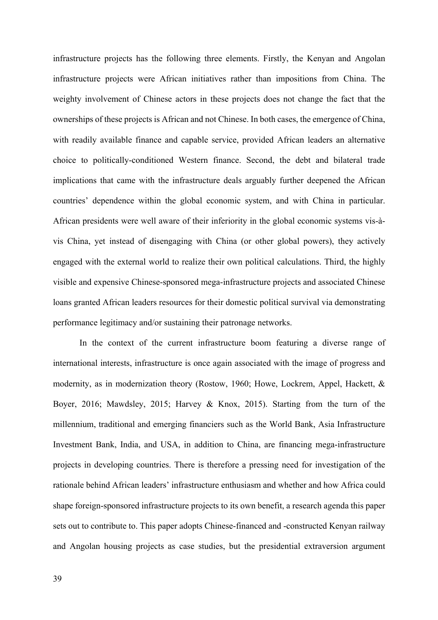infrastructure projects has the following three elements. Firstly, the Kenyan and Angolan infrastructure projects were African initiatives rather than impositions from China. The weighty involvement of Chinese actors in these projects does not change the fact that the ownerships of these projects is African and not Chinese. In both cases, the emergence of China, with readily available finance and capable service, provided African leaders an alternative choice to politically-conditioned Western finance. Second, the debt and bilateral trade implications that came with the infrastructure deals arguably further deepened the African countries' dependence within the global economic system, and with China in particular. African presidents were well aware of their inferiority in the global economic systems vis-àvis China, yet instead of disengaging with China (or other global powers), they actively engaged with the external world to realize their own political calculations. Third, the highly visible and expensive Chinese-sponsored mega-infrastructure projects and associated Chinese loans granted African leaders resources for their domestic political survival via demonstrating performance legitimacy and/or sustaining their patronage networks.

In the context of the current infrastructure boom featuring a diverse range of international interests, infrastructure is once again associated with the image of progress and modernity, as in modernization theory (Rostow, 1960; Howe, Lockrem, Appel, Hackett, & Boyer, 2016; Mawdsley, 2015; Harvey & Knox, 2015). Starting from the turn of the millennium, traditional and emerging financiers such as the World Bank, Asia Infrastructure Investment Bank, India, and USA, in addition to China, are financing mega-infrastructure projects in developing countries. There is therefore a pressing need for investigation of the rationale behind African leaders' infrastructure enthusiasm and whether and how Africa could shape foreign-sponsored infrastructure projects to its own benefit, a research agenda this paper sets out to contribute to. This paper adopts Chinese-financed and -constructed Kenyan railway and Angolan housing projects as case studies, but the presidential extraversion argument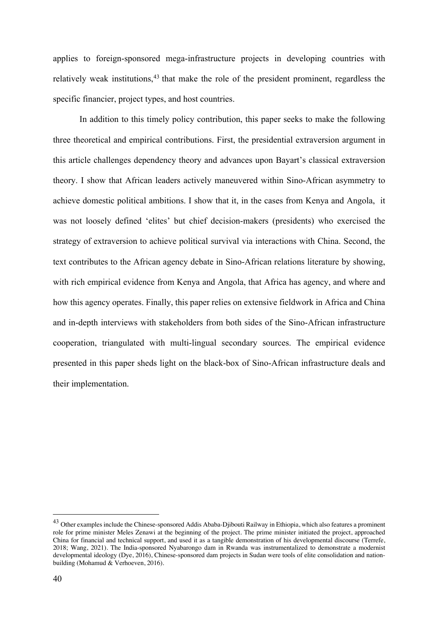applies to foreign-sponsored mega-infrastructure projects in developing countries with relatively weak institutions, $43$  that make the role of the president prominent, regardless the specific financier, project types, and host countries.

In addition to this timely policy contribution, this paper seeks to make the following three theoretical and empirical contributions. First, the presidential extraversion argument in this article challenges dependency theory and advances upon Bayart's classical extraversion theory. I show that African leaders actively maneuvered within Sino-African asymmetry to achieve domestic political ambitions. I show that it, in the cases from Kenya and Angola, it was not loosely defined 'elites' but chief decision-makers (presidents) who exercised the strategy of extraversion to achieve political survival via interactions with China. Second, the text contributes to the African agency debate in Sino-African relations literature by showing, with rich empirical evidence from Kenya and Angola, that Africa has agency, and where and how this agency operates. Finally, this paper relies on extensive fieldwork in Africa and China and in-depth interviews with stakeholders from both sides of the Sino-African infrastructure cooperation, triangulated with multi-lingual secondary sources. The empirical evidence presented in this paper sheds light on the black-box of Sino-African infrastructure deals and their implementation.

<sup>&</sup>lt;sup>43</sup> Other examples include the Chinese-sponsored Addis Ababa-Djibouti Railway in Ethiopia, which also features a prominent role for prime minister Meles Zenawi at the beginning of the project. The prime minister initiated the project, approached China for financial and technical support, and used it as a tangible demonstration of his developmental discourse (Terrefe, 2018; Wang, 2021). The India-sponsored Nyabarongo dam in Rwanda was instrumentalized to demonstrate a modernist developmental ideology (Dye, 2016), Chinese-sponsored dam projects in Sudan were tools of elite consolidation and nationbuilding (Mohamud & Verhoeven, 2016).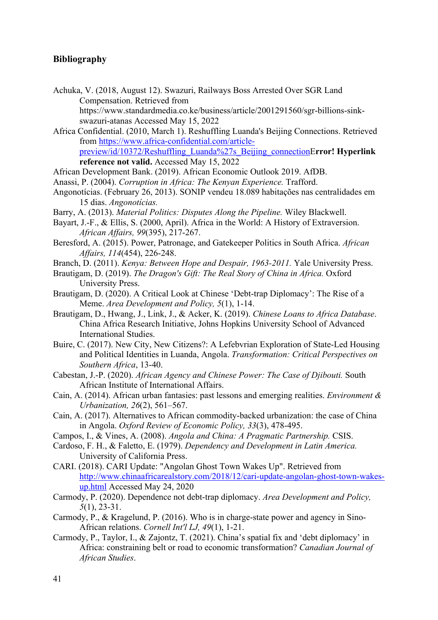# **Bibliography**

- Achuka, V. (2018, August 12). Swazuri, Railways Boss Arrested Over SGR Land Compensation. Retrieved from https://www.standardmedia.co.ke/business/article/2001291560/sgr-billions-sinkswazuri-atanas Accessed May 15, 2022
- Africa Confidential. (2010, March 1). Reshuffling Luanda's Beijing Connections. Retrieved from https://www.africa-confidential.com/articlepreview/id/10372/Reshuffling\_Luanda%27s\_Beijing\_connectionE**rror! Hyperlink reference not valid.** Accessed May 15, 2022
- African Development Bank. (2019). African Economic Outlook 2019. AfDB.
- Anassi, P. (2004). *Corruption in Africa: The Kenyan Experience.* Trafford.
- Angonotícias. (February 26, 2013). SONIP vendeu 18.089 habitações nas centralidades em 15 dias. *Angonotícias.*
- Barry, A. (2013). *Material Politics: Disputes Along the Pipeline.* Wiley Blackwell.
- Bayart, J.-F., & Ellis, S. (2000, April). Africa in the World: A History of Extraversion. *African Affairs, 99*(395), 217-267.
- Beresford, A. (2015). Power, Patronage, and Gatekeeper Politics in South Africa. *African Affairs, 114*(454), 226-248.
- Branch, D. (2011). *Kenya: Between Hope and Despair, 1963-2011.* Yale University Press.
- Brautigam, D. (2019). *The Dragon's Gift: The Real Story of China in Africa.* Oxford University Press.
- Brautigam, D. (2020). A Critical Look at Chinese 'Debt-trap Diplomacy': The Rise of a Meme. *Area Development and Policy, 5*(1), 1-14.
- Brautigam, D., Hwang, J., Link, J., & Acker, K. (2019). *Chinese Loans to Africa Database*. China Africa Research Initiative, Johns Hopkins University School of Advanced International Studies.
- Buire, C. (2017). New City, New Citizens?: A Lefebvrian Exploration of State-Led Housing and Political Identities in Luanda, Angola. *Transformation: Critical Perspectives on Southern Africa*, 13-40.
- Cabestan, J.-P. (2020). *African Agency and Chinese Power: The Case of Djibouti.* South African Institute of International Affairs.
- Cain, A. (2014). African urban fantasies: past lessons and emerging realities. *Environment & Urbanization, 26*(2), 561–567.
- Cain, A. (2017). Alternatives to African commodity-backed urbanization: the case of China in Angola. *Oxford Review of Economic Policy, 33*(3), 478-495.
- Campos, I., & Vines, A. (2008). *Angola and China: A Pragmatic Partnership.* CSIS.
- Cardoso, F. H., & Faletto, E. (1979). *Dependency and Development in Latin America.* University of California Press.
- CARI. (2018). CARI Update: "Angolan Ghost Town Wakes Up". Retrieved from http://www.chinaafricarealstory.com/2018/12/cari-update-angolan-ghost-town-wakesup.html Accessed May 24, 2020
- Carmody, P. (2020). Dependence not debt-trap diplomacy. *Area Development and Policy, 5*(1), 23-31.
- Carmody, P., & Kragelund, P. (2016). Who is in charge-state power and agency in Sino-African relations. *Cornell Int'l LJ, 49*(1), 1-21.
- Carmody, P., Taylor, I., & Zajontz, T. (2021). China's spatial fix and 'debt diplomacy' in Africa: constraining belt or road to economic transformation? *Canadian Journal of African Studies*.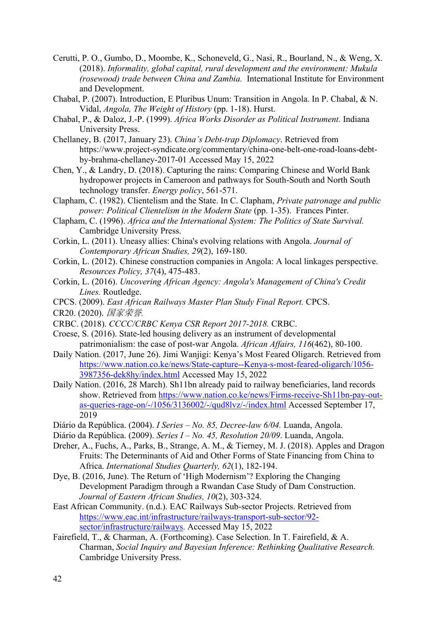- Cerutti, P. O., Gumbo, D., Moombe, K., Schoneveld, G., Nasi, R., Bourland, N., & Weng, X. (2018). *Informality, global capital, rural development and the environment: Mukula (rosewood) trade between China and Zambia.* International Institute for Environment and Development.
- Chabal, P. (2007). Introduction, E Pluribus Unum: Transition in Angola. In P. Chabal, & N. Vidal, *Angola, The Weight of History* (pp. 1-18). Hurst.
- Chabal, P., & Daloz, J.-P. (1999). *Africa Works Disorder as Political Instrument.* Indiana University Press.
- Chellaney, B. (2017, January 23). *China's Debt-trap Diplomacy*. Retrieved from https://www.project-syndicate.org/commentary/china-one-belt-one-road-loans-debtby-brahma-chellaney-2017-01 Accessed May 15, 2022
- Chen, Y., & Landry, D. (2018). Capturing the rains: Comparing Chinese and World Bank hydropower projects in Cameroon and pathways for South-South and North South technology transfer. *Energy policy*, 561-571.
- Clapham, C. (1982). Clientelism and the State. In C. Clapham, *Private patronage and public power: Political Clientelism in the Modern State* (pp. 1-35). Frances Pinter.
- Clapham, C. (1996). *Africa and the International System: The Politics of State Survival.* Cambridge University Press.
- Corkin, L. (2011). Uneasy allies: China's evolving relations with Angola. *Journal of Contemporary African Studies, 29*(2), 169-180.
- Corkin, L. (2012). Chinese construction companies in Angola: A local linkages perspective. *Resources Policy, 37*(4), 475-483.
- Corkin, L. (2016). *Uncovering African Agency: Angola's Management of China's Credit Lines.* Routledge.
- CPCS. (2009). *East African Railways Master Plan Study Final Report.* CPCS. CR20. (2020). 国家荣誉*.*
- 
- CRBC. (2018). *CCCC/CRBC Kenya CSR Report 2017-2018.* CRBC.
- Croese, S. (2016). State-led housing delivery as an instrument of developmental patrimonialism: the case of post-war Angola. *African Affairs, 116*(462), 80-100.
- Daily Nation. (2017, June 26). Jimi Wanjigi: Kenya's Most Feared Oligarch. Retrieved from https://www.nation.co.ke/news/State-capture--Kenya-s-most-feared-oligarch/1056- 3987356-dek8hy/index.html Accessed May 15, 2022
- Daily Nation. (2016, 28 March). Sh11bn already paid to railway beneficiaries, land records show. Retrieved from https://www.nation.co.ke/news/Firms-receive-Sh11bn-pay-outas-queries-rage-on/-/1056/3136002/-/qud8lvz/-/index.html Accessed September 17, 2019
- Diário da República. (2004). *I Series – No. 85, Decree-law 6/04.* Luanda, Angola.
- Diário da República. (2009). *Series I – No. 45, Resolution 20/09*. Luanda, Angola.
- Dreher, A., Fuchs, A., Parks, B., Strange, A. M., & Tierney, M. J. (2018). Apples and Dragon Fruits: The Determinants of Aid and Other Forms of State Financing from China to Africa. *International Studies Quarterly, 62*(1), 182-194.
- Dye, B. (2016, June). The Return of 'High Modernism'? Exploring the Changing Development Paradigm through a Rwandan Case Study of Dam Construction. *Journal of Eastern African Studies, 10*(2), 303-324.
- East African Community. (n.d.). EAC Railways Sub-sector Projects. Retrieved from https://www.eac.int/infrastructure/railways-transport-sub-sector/92 sector/infrastructure/railways. Accessed May 15, 2022
- Fairefield, T., & Charman, A. (Forthcoming). Case Selection. In T. Fairefield, & A. Charman, *Social Inquiry and Bayesian Inference: Rethinking Qualitative Research.* Cambridge University Press.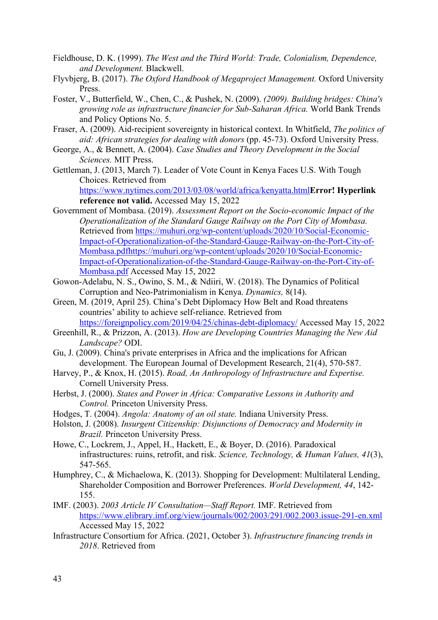- Fieldhouse, D. K. (1999). *The West and the Third World: Trade, Colonialism, Dependence, and Development.* Blackwell.
- Flyvbjerg, B. (2017). *The Oxford Handbook of Megaproject Management.* Oxford University Press.
- Foster, V., Butterfield, W., Chen, C., & Pushek, N. (2009). *(2009). Building bridges: China's growing role as infrastructure financier for Sub-Saharan Africa.* World Bank Trends and Policy Options No. 5.
- Fraser, A. (2009). Aid-recipient sovereignty in historical context. In Whitfield, *The politics of aid: African strategies for dealing with donors* (pp. 45-73). Oxford University Press.
- George, A., & Bennett, A. (2004). *Case Studies and Theory Development in the Social Sciences.* MIT Press.
- Gettleman, J. (2013, March 7). Leader of Vote Count in Kenya Faces U.S. With Tough Choices. Retrieved from

https://www.nytimes.com/2013/03/08/world/africa/kenyatta.html**Error! Hyperlink reference not valid.** Accessed May 15, 2022

- Government of Mombasa. (2019). *Assessment Report on the Socio-economic Impact of the Operationalization of the Standard Gauge Railway on the Port City of Mombasa.* Retrieved from https://muhuri.org/wp-content/uploads/2020/10/Social-Economic-Impact-of-Operationalization-of-the-Standard-Gauge-Railway-on-the-Port-City-of-Mombasa.pdfhttps://muhuri.org/wp-content/uploads/2020/10/Social-Economic-Impact-of-Operationalization-of-the-Standard-Gauge-Railway-on-the-Port-City-of-Mombasa.pdf Accessed May 15, 2022
- Gowon-Adelabu, N. S., Owino, S. M., & Ndiiri, W. (2018). The Dynamics of Political Corruption and Neo-Patrimonialism in Kenya. *Dynamics,* 8(14).
- Green, M. (2019, April 25). China's Debt Diplomacy How Belt and Road threatens countries' ability to achieve self-reliance. Retrieved from https://foreignpolicy.com/2019/04/25/chinas-debt-diplomacy/ Accessed May 15, 2022
- Greenhill, R., & Prizzon, A. (2013). *How are Developing Countries Managing the New Aid Landscape?* ODI.
- Gu, J. (2009). China's private enterprises in Africa and the implications for African development. The European Journal of Development Research, 21(4), 570-587.
- Harvey, P., & Knox, H. (2015). *Road, An Anthropology of Infrastructure and Expertise.* Cornell University Press.
- Herbst, J. (2000). *States and Power in Africa: Comparative Lessons in Authority and Control.* Princeton University Press.
- Hodges, T. (2004). *Angola: Anatomy of an oil state.* Indiana University Press.
- Holston, J. (2008). *Insurgent Citizenship: Disjunctions of Democracy and Modernity in Brazil.* Princeton University Press.
- Howe, C., Lockrem, J., Appel, H., Hackett, E., & Boyer, D. (2016). Paradoxical infrastructures: ruins, retrofit, and risk. *Science, Technology, & Human Values, 41*(3), 547-565.
- Humphrey, C., & Michaelowa, K. (2013). Shopping for Development: Multilateral Lending, Shareholder Composition and Borrower Preferences. *World Development, 44*, 142- 155.
- IMF. (2003). *2003 Article IV Consultation—Staff Report.* IMF. Retrieved from https://www.elibrary.imf.org/view/journals/002/2003/291/002.2003.issue-291-en.xml Accessed May 15, 2022
- Infrastructure Consortium for Africa. (2021, October 3). *Infrastructure financing trends in 2018*. Retrieved from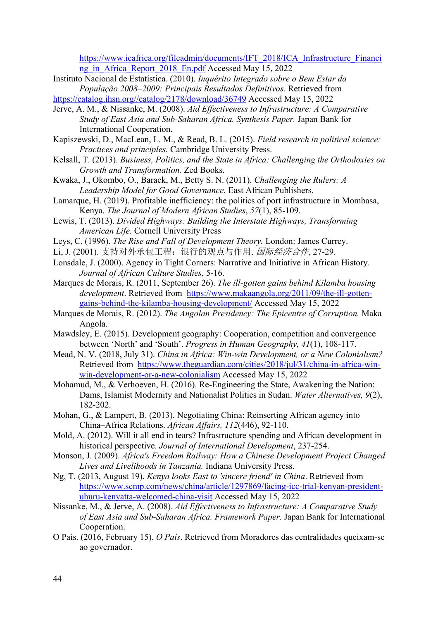https://www.icafrica.org/fileadmin/documents/IFT\_2018/ICA\_Infrastructure\_Financi ng in Africa Report 2018 En.pdf Accessed May 15, 2022

- Instituto Nacional de Estatística. (2010). *Inquérito Integrado sobre o Bem Estar da População 2008–2009: Principais Resultados Definitivos.* Retrieved from
- https://catalog.ihsn.org//catalog/2178/download/36749 Accessed May 15, 2022
- Jerve, A. M., & Nissanke, M. (2008). *Aid Effectiveness to Infrastructure: A Comparative Study of East Asia and Sub-Saharan Africa. Synthesis Paper.* Japan Bank for International Cooperation.
- Kapiszewski, D., MacLean, L. M., & Read, B. L. (2015). *Field research in political science: Practices and principles.* Cambridge University Press.
- Kelsall, T. (2013). *Business, Politics, and the State in Africa: Challenging the Orthodoxies on Growth and Transformation.* Zed Books.
- Kwaka, J., Okombo, O., Barack, M., Betty S. N. (2011). *Challenging the Rulers: A Leadership Model for Good Governance.* East African Publishers.
- Lamarque, H. (2019). Profitable inefficiency: the politics of port infrastructure in Mombasa, Kenya. *The Journal of Modern African Studies*, *57*(1), 85-109.
- Lewis, T. (2013). *Divided Highways: Building the Interstate Highways, Transforming American Life.* Cornell University Press
- Leys, C. (1996). *The Rise and Fall of Development Theory.* London: James Currey.
- Li, J. (2001). 支持对外承包工程: 银行的观点与作用. 国际经济合作, 27-29.
- Lonsdale, J. (2000). Agency in Tight Corners: Narrative and Initiative in African History. *Journal of African Culture Studies*, 5-16.
- Marques de Morais, R. (2011, September 26). *The ill-gotten gains behind Kilamba housing development*. Retrieved from https://www.makaangola.org/2011/09/the-ill-gottengains-behind-the-kilamba-housing-development/ Accessed May 15, 2022
- Marques de Morais, R. (2012). *The Angolan Presidency: The Epicentre of Corruption.* Maka Angola.
- Mawdsley, E. (2015). Development geography: Cooperation, competition and convergence between 'North' and 'South'. *Progress in Human Geography, 41*(1), 108-117.
- Mead, N. V. (2018, July 31). *China in Africa: Win-win Development, or a New Colonialism?* Retrieved from https://www.theguardian.com/cities/2018/jul/31/china-in-africa-winwin-development-or-a-new-colonialism Accessed May 15, 2022
- Mohamud, M., & Verhoeven, H. (2016). Re-Engineering the State, Awakening the Nation: Dams, Islamist Modernity and Nationalist Politics in Sudan. *Water Alternatives, 9*(2), 182-202.
- Mohan, G., & Lampert, B. (2013). Negotiating China: Reinserting African agency into China–Africa Relations. *African Affairs, 112*(446), 92-110.
- Mold, A. (2012). Will it all end in tears? Infrastructure spending and African development in historical perspective. *Journal of International Development*, 237-254.
- Monson, J. (2009). *Africa's Freedom Railway: How a Chinese Development Project Changed Lives and Livelihoods in Tanzania.* Indiana University Press.
- Ng, T. (2013, August 19). *Kenya looks East to 'sincere friend' in China*. Retrieved from https://www.scmp.com/news/china/article/1297869/facing-icc-trial-kenyan-presidentuhuru-kenyatta-welcomed-china-visit Accessed May 15, 2022
- Nissanke, M., & Jerve, A. (2008). *Aid Effectiveness to Infrastructure: A Comparative Study of East Asia and Sub-Saharan Africa. Framework Paper.* Japan Bank for International Cooperation.
- O País. (2016, February 15). *O País*. Retrieved from Moradores das centralidades queixam-se ao governador.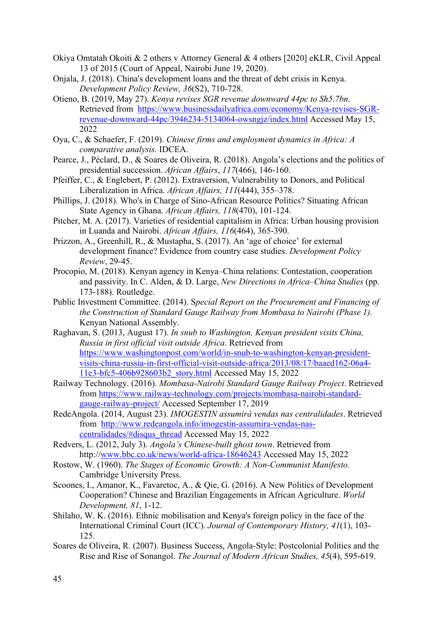- Okiya Omtatah Okoiti & 2 others v Attorney General & 4 others [2020] eKLR, Civil Appeal 13 of 2015 (Court of Appeal, Nairobi June 19, 2020).
- Onjala, J. (2018). China's development loans and the threat of debt crisis in Kenya. *Development Policy Review, 36*(S2), 710-728.
- Otieno, B. (2019, May 27). *Kenya revises SGR revenue downward 44pc to Sh5.7bn*. Retrieved from https://www.businessdailyafrica.com/economy/Kenya-revises-SGRrevenue-downward-44pc/3946234-5134064-owsngjz/index.html Accessed May 15, 2022
- Oya, C., & Schaefer, F. (2019). *Chinese firms and employment dynamics in Africa: A comparative analysis.* IDCEA.
- Pearce, J., Péclard, D., & Soares de Oliveira, R. (2018). Angola's elections and the politics of presidential succession. *African Affairs*, *117*(466), 146-160.
- Pfeiffer, C., & Englebert, P. (2012). Extraversion, Vulnerability to Donors, and Political Liberalization in Africa. *African Affairs, 111*(444), 355–378.
- Phillips, J. (2018). Who's in Charge of Sino-African Resource Politics? Situating African State Agency in Ghana. *African Affairs, 118*(470), 101-124.
- Pitcher, M. A. (2017). Varieties of residential capitalism in Africa: Urban housing provision in Luanda and Nairobi. *African Affairs, 116*(464), 365-390.
- Prizzon, A., Greenhill, R., & Mustapha, S. (2017). An 'age of choice' for external development finance? Evidence from country case studies. *Development Policy Review*, 29-45.
- Procopio, M. (2018). Kenyan agency in Kenya–China relations: Contestation, cooperation and passivity. In C. Alden, & D. Large, *New Directions in Africa–China Studies* (pp. 173-188). Routledge.
- Public Investment Committee. (2014). S*pecial Report on the Procurement and Financing of the Construction of Standard Gauge Railway from Mombasa to Nairobi (Phase 1).* Kenyan National Assembly.
- Raghavan, S. (2013, August 17). *In snub to Washington, Kenyan president visits China, Russia in first official visit outside Africa*. Retrieved from https://www.washingtonpost.com/world/in-snub-to-washington-kenyan-presidentvisits-china-russia-in-first-official-visit-outside-africa/2013/08/17/baaed162-06a4- 11e3-bfc5-406b928603b2\_story.html Accessed May 15, 2022
- Railway Technology. (2016). *Mombasa-Nairobi Standard Gauge Railway Project*. Retrieved from https://www.railway-technology.com/projects/mombasa-nairobi-standardgauge-railway-project/ Accessed September 17, 2019
- RedeAngola. (2014, August 23). *IMOGESTIN assumirá vendas nas centralidades*. Retrieved from http://www.redeangola.info/imogestin-assumira-vendas-nascentralidades/#disqus\_thread Accessed May 15, 2022
- Redvers, L. (2012, July 3). *Angola's Chinese-built ghost town*. Retrieved from http://www.bbc.co.uk/news/world-africa-18646243 Accessed May 15, 2022
- Rostow, W. (1960). *The Stages of Economic Growth: A Non-Communist Manifesto.* Cambridge University Press.
- Scoones, I., Amanor, K., Favaretoc, A., & Qie, G. (2016). A New Politics of Development Cooperation? Chinese and Brazilian Engagements in African Agriculture. *World Development, 81*, 1-12.
- Shilaho, W. K. (2016). Ethnic mobilisation and Kenya's foreign policy in the face of the International Criminal Court (ICC). *Journal of Contemporary History, 41*(1), 103- 125.
- Soares de Oliveira, R. (2007). Business Success, Angola-Style: Postcolonial Politics and the Rise and Rise of Sonangol. *The Journal of Modern African Studies, 45*(4), 595-619.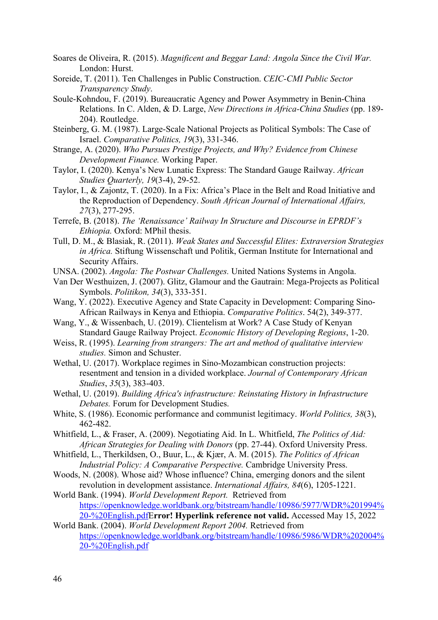- Soares de Oliveira, R. (2015). *Magnificent and Beggar Land: Angola Since the Civil War.* London: Hurst.
- Soreide, T. (2011). Ten Challenges in Public Construction. *CEIC-CMI Public Sector Transparency Study*.
- Soule-Kohndou, F. (2019). Bureaucratic Agency and Power Asymmetry in Benin-China Relations. In C. Alden, & D. Large, *New Directions in Africa-China Studies* (pp. 189- 204). Routledge.
- Steinberg, G. M. (1987). Large-Scale National Projects as Political Symbols: The Case of Israel. *Comparative Politics, 19*(3), 331-346.
- Strange, A. (2020). *Who Pursues Prestige Projects, and Why? Evidence from Chinese Development Finance.* Working Paper.
- Taylor, I. (2020). Kenya's New Lunatic Express: The Standard Gauge Railway. *African Studies Quarterly, 19*(3-4), 29-52.
- Taylor, I., & Zajontz, T. (2020). In a Fix: Africa's Place in the Belt and Road Initiative and the Reproduction of Dependency. *South African Journal of International Affairs, 27*(3), 277-295.
- Terrefe, B. (2018). *The 'Renaissance' Railway In Structure and Discourse in EPRDF's Ethiopia.* Oxford: MPhil thesis.
- Tull, D. M., & Blasiak, R. (2011). *Weak States and Successful Elites: Extraversion Strategies in Africa.* Stiftung Wissenschaft und Politik, German Institute for International and Security Affairs.
- UNSA. (2002). *Angola: The Postwar Challenges.* United Nations Systems in Angola.
- Van Der Westhuizen, J. (2007). Glitz, Glamour and the Gautrain: Mega-Projects as Political Symbols. *Politikon, 34*(3), 333-351.
- Wang, Y. (2022). Executive Agency and State Capacity in Development: Comparing Sino-African Railways in Kenya and Ethiopia. *Comparative Politics*. 54(2), 349-377.
- Wang, Y., & Wissenbach, U. (2019). Clientelism at Work? A Case Study of Kenyan Standard Gauge Railway Project. *Economic History of Developing Regions*, 1-20.
- Weiss, R. (1995). *Learning from strangers: The art and method of qualitative interview studies.* Simon and Schuster.
- Wethal, U. (2017). Workplace regimes in Sino-Mozambican construction projects: resentment and tension in a divided workplace. *Journal of Contemporary African Studies*, *35*(3), 383-403.
- Wethal, U. (2019). *Building Africa's infrastructure: Reinstating History in Infrastructure Debates.* Forum for Development Studies.
- White, S. (1986). Economic performance and communist legitimacy. *World Politics, 38*(3), 462-482.
- Whitfield, L., & Fraser, A. (2009). Negotiating Aid. In L. Whitfield, *The Politics of Aid: African Strategies for Dealing with Donors* (pp. 27-44). Oxford University Press.
- Whitfield, L., Therkildsen, O., Buur, L., & Kjær, A. M. (2015). *The Politics of African Industrial Policy: A Comparative Perspective.* Cambridge University Press.
- Woods, N. (2008). Whose aid? Whose influence? China, emerging donors and the silent revolution in development assistance. *International Affairs, 84*(6), 1205-1221.
- World Bank. (1994). *World Development Report.* Retrieved from https://openknowledge.worldbank.org/bitstream/handle/10986/5977/WDR%201994% 20-%20English.pdfE**rror! Hyperlink reference not valid.** Accessed May 15, 2022
- World Bank. (2004). *World Development Report 2004.* Retrieved from https://openknowledge.worldbank.org/bitstream/handle/10986/5986/WDR%202004% 20-%20English.pdf